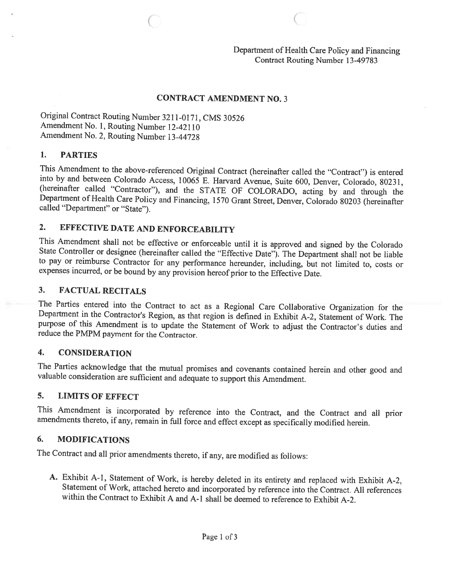#### CONTRACT AMENDMENT NO. 3

 $\circ$   $\circ$   $\circ$ 

Original Contract Routing Number 3211-0171, CMS <sup>30526</sup> Amendment No. 1, Routing Number 12-42110 Amendment No. 2, Routing Number 13-44728

#### 1. PARTIES

This Amendment to the above-referenced Original Contract (hereinafter called the "Contract") is entered into by and between Colorado Access, 10065 E. Harvard Avenue, Suite 600, Denver, Colorado, 80231, (hereinafter called

## 2. EFFECTIVE DATE AND ENFORCEABILITY

This Amendment shall not be effective or enforceable until it is approved and signed by the Colorado State Controller or designee (hereinafter called the "Effective Date"). The Department shall not be liable to pay or reim expenses incurred, or be bound by any provision hereof prior to the Effective Date.

#### 3. FACTUAL RECITALS

The Parties entered into the Contract to act as <sup>a</sup> Regional Care Collaborative Organization for the Department in the Contractor's Region, as that region is defined in Exhibit A-2, Statement of Work. The purpose of this Amendment is to update the Statement of Work to adjust the Contractor's duties and reduce the PMPM payment for the Contractor.

#### 4. CONSIDERATION

The Parties acknowledge that the mutual promises and covenants contained herein and other good and valuable consideration are sufficient and adequate to support this Amendment.

#### 5. LIMITS OF EFFECT

This Amendment is incorporated by reference into the Contract, and the Contract and all prior amendments thereto, if any, remain in full force and effect except as specifically modified herein.

#### 6. MODIFICATIONS

The Contract and all prior amendments thereto, if any, are modified as follows:

A. Exhibit A-1, Statement of Work, is hereby deleted in its entirety and replaced with Exhibit A-2, Statement of Work, attached hereto and incorporated by reference into the Contract. All references within the Contract to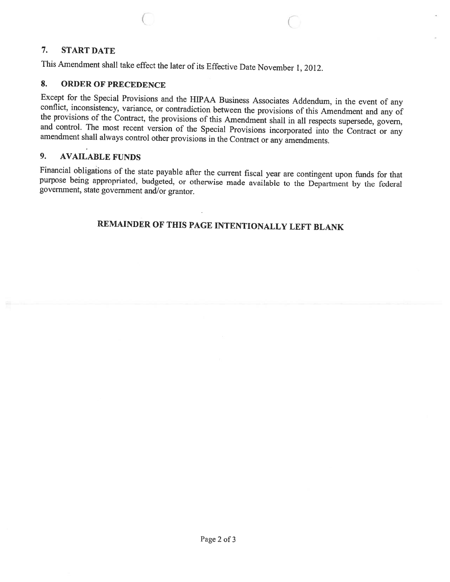### 7. START DATE

This Amendment shall take effect the later of its Effective Date November 1, 2012.

#### 8. ORDER OF PRECEDENCE

Except for the Special Provisions and the HIPAA Business Associates Addendum, in the event of any conflict, inconsistency, variance, or contradiction between the provisions of this Amendment and any of the provisions of th

 $\circ$   $\circ$   $\circ$   $\circ$ 

## 9. AVAILABLE FUNDS

Financial obligations of the state payable after the current fiscal year are contingent upon funds for that purpose being appropriated, budgeted, or otherwise made available to the Department by the federal government, sta

## REMAINDER OF THIS PAGE INTENTIONALLY LEFT BLANK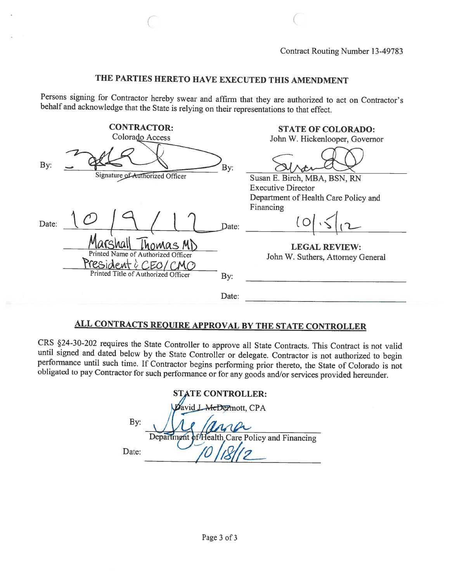### THE PARTIES HERETO HAVE EXECUTED THIS AMENDMENT

 $\overline{C}$  contracts to  $\overline{C}$ 

Persons signing for Contractor hereby swear and affirm that they are authorized to act on Contractor's behalf and acknowledge that the State is relying on their representations to that effect.

|       | <b>CONTRACTOR:</b>                                                   |       | <b>STATE OF COLORADO:</b>                                 |
|-------|----------------------------------------------------------------------|-------|-----------------------------------------------------------|
|       | Colorado Access                                                      |       | John W. Hickenlooper, Governor                            |
| By:   | Signature of Authorized Officer                                      | By:   | Susan E. Birch, MBA, BSN, RN                              |
|       |                                                                      |       | <b>Executive Director</b>                                 |
|       |                                                                      |       | Department of Health Care Policy and                      |
| Date: |                                                                      | Date: | Financing                                                 |
|       | homas MD<br>Printed Name of Authorized Officer<br>resident è<br>CEA/ |       | <b>LEGAL REVIEW:</b><br>John W. Suthers, Attorney General |
|       | Printed Title of Authorized Officer                                  | By:   |                                                           |
|       |                                                                      | Date: |                                                           |

# ALL CONTRACTS REQUIRE APPROVAL BY THE STATE CONTROLLER

CRS §24-30-202 requires the State Controller to approve all State Contracts. This Contract is not valid until signed and dated below by the State Controller or delegate. Contractor is not authorized to begin obligated to pay Contractor for such performance or for any goods and/or services provided hereunder.

| <b>STATE CONTROLLER:</b> |                                                |  |
|--------------------------|------------------------------------------------|--|
|                          | David LAteDermott, CPA                         |  |
| By:                      | ana                                            |  |
|                          | Department of Health Care Policy and Financing |  |
| Date:                    |                                                |  |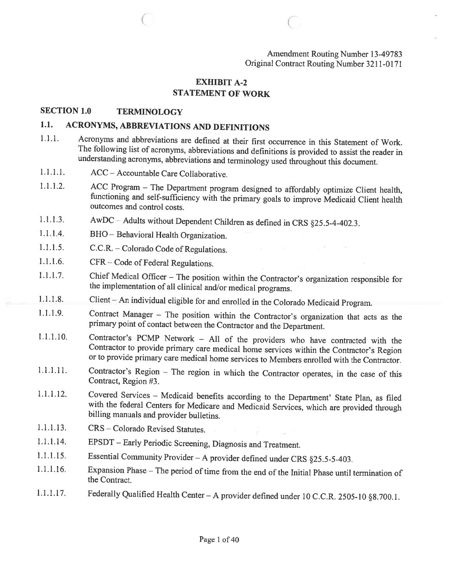Amendment Routing Number 13-49783 Original Contract Routing Number 3211-0171

#### EXHIBIT A-2 STATEMENT OF WORK

C C.

#### SECTION 1.0 TERMINOLOGY

## 1.1. ACRONYMS, ABBREVIATIONS AND DEFINITIONS

- 1.1.1. Acronyms and abbreviations are defined at their first occurrence in this Statement of Work.<br>The following list of acronyms, abbreviations and definitions is provided to assist the reader in understanding acronyms, abbreviations and terminology used throughout this document.
- 1.1.1.1. ACC Accountable Care Collaborative.
- 1.1.1.2. ACC Program The Department program designed to affordably optimize Client health, functioning and self-sufficiency with the primary goals to improve Medicaid Client health outcomes and control costs.
- 1.1.1.3. AwDC Adults without Dependent Children as defined in CRS §25.5-4-402.3.
- 1.1.1.4. BHO  $-$  Behavioral Health Organization.
- 1.1.1.5. C.C.R. Colorado Code of Regulations.
- 1.1.1.6. CFR— Code of Federal Regulations.
- 1.1.1.7. Chief Medical Officer The position within the Contractor's organization responsible for the implementation of all clinical and/or medical programs.
- 1.1.1.8. Client An individual eligible for and enrolled in the Colorado Medicaid Program.
- 1.1.1.9. Contract Manager The position within the Contractor's organization that acts as the primary point of contact between the Contractor and the Department.
- 1.1.1.10. Contractor's PCMP Network All of the providers who have contracted with the Contractor to provide primary care medical home services within the Contractor's Region or to provide primary care medical home services to Members enrolled with the Contractor.
- 1.1.1.11. Contractor's Region The region in which the Contractor operates, in the case of this Contract, Region #3.
- 1.1.1.12. Covered Services Medicaid benefits according to the Department' State Plan, as filed with the federal Centers for Medicare and Medicaid Services, which are provided through billing manuals and provider bulletins.
- 1.1.1.13. CRS Colorado Revised Statutes.
- 1.1.1.14. EPSDT Early Periodic Screening, Diagnosis and Treatment.
- 1.1.1.15. Essential Community Provider <sup>A</sup> provider defined under CRS §25.5-5-403.
- 1.1.1.16. Expansion Phase The period of time from the end of the Initial Phase until termination of the Contract.
- 1.1.1.17. Federally Qualified Health Center <sup>A</sup> provider defined under <sup>10</sup> C.C.R. 2505-10 §8.700.1.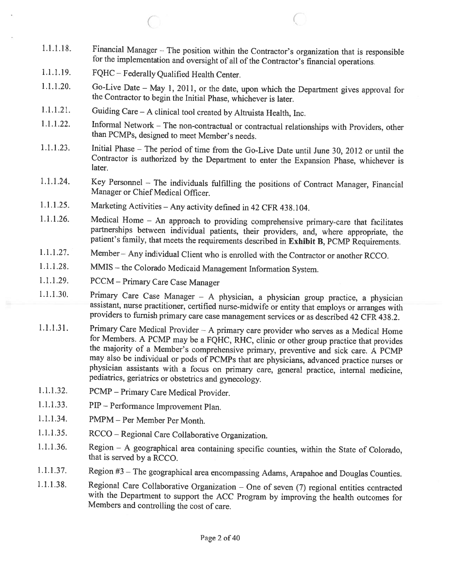1.1.1.18. Financial Manager — The position within the Contractor's organization that is responsible for the implementation and oversight of all of the Contractor's financial operations.

 $\overline{\mathcal{C}}$ 

- 1.1.1.19. FQHC Federally Qualified Health Center.
- 1.1.1.20. Go-Live Date May 1, 2011, or the date, upon which the Department <sup>g</sup>ives approval for the Contractor to begin the Initial Phase, whichever is later.
- 1.1.1.21. Guiding Care <sup>A</sup> clinical tool created by Altruista Health, Inc.
- 1.1.1.22. Informal Network The non-contractual or contractual relationships with Providers, other than PCMPs, designed to meet Member's needs.
- 1.1.1.23. Initial Phase The period of time fion the Go-Live Date until June 30, <sup>2012</sup> or until the Contractor is authorized by the Department to enter the Expansion Phase, whichever is later.
- 1.1.1.24. Key Personnel The individuals fulfilling the positions of Contract Manager, Financial Manager or Chief Medical Officer.
- 1.1.1.25. Marketing Activities Any activity defined in <sup>42</sup> CFR 438.104.
- 1.1.1.26. Medical Home An approach to providing comprehensive primary-care that facilitates partnerships between individual patients, their providers, and, where appropriate, the patient's family, that meets the requirements described in Exhibit B, PCMP Requirements.
- 1.1.1.27. Member Any individual Client who is enrolled with the Contractor or another RCCO.
- 1.1.1.28. MMIS the Colorado Medicaid Management Information System.
- 1.1.1.29. PCCM Primary Care Case Manager
- 1.1.1.30. Primary Care Case Manager A physician, a physician group practice, a physician assistant, nurse practitioner, certified nurse-midwife or entity that employs or arranges with providers to furnish primary care ca
- 1.1.1.31. Primary Care Medical Provider A primary care provider who serves as a Medical Home<br>for Members. A PCMP may be a FQHC, RHC, clinic or other group practice that provides the majority of a Member's comprehensive primary, preventive and sick care. A PCMP may also be individual or pods of PCMPs that are <sup>p</sup>hysicians, advanced practice nurses or <sup>p</sup>hysician assistants with <sup>a</sup> focus on primary care. general practice, internal medicine, pediatrics, geriatrics or obstetrics and gynecology.
- 1.1.1.32. PCMP Primary Care Medical Provider.
- $1.1.1.33.$ — Performance Improvement Plan.
- 1.1.1.34. PMPM Per Member Per Month.
- 1.1.1.35. RCCO — Regional Care Collaborative Organization.
- 1.1.1.36. Region <sup>A</sup> geographical area containing specific counties, within the State of Colorado, that is served by <sup>a</sup> RCCO.
- 1.1.1.37. Region #3 The geographical area encompassing Adams, Arapahoe and Douglas Counties.
- 1.1.1.38. Regional Care Collaborative Organization One of seven (7) regional entities contracted with the Department to support the ACC Program by improving the health outcomes for Members and controlling the cost of care.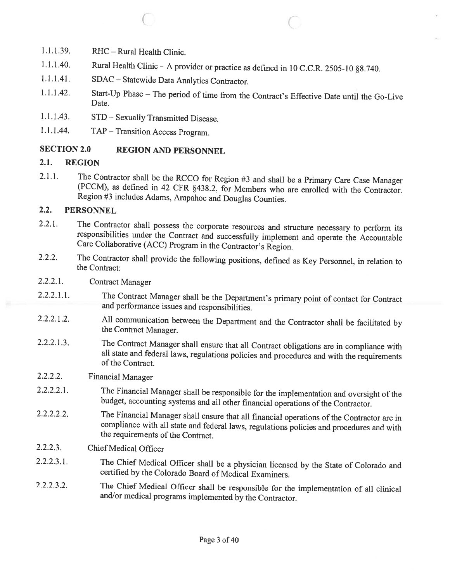- 1.1.1.39. RHC Rural Health Clinic.
- 1.1.1.40. Rural Health Clinic <sup>A</sup> provider or practice as defined in <sup>10</sup> C.C.R. 2505-10 §8.740.

 $\hspace{.1in}$  C

- 1.1.1.41. SDAC Statewide Data Analytics Contractor.
- 1.1.1.42. Start-Up Phase The period of time from the Contract's Effective Date until the Go-Live Date.
- 1.1.1.43. STD Sexually Transmitted Disease.
- 1.1.1.44. TAP Transition Access Program.

#### SECTION 2.0 REGION AND PERSONNEL

#### 2.1. REGION

2.1.1. The Contractor shall be the RCCO for Region #3 and shall be <sup>a</sup> Primary Care Case Manager (PCCM), as defined in <sup>42</sup> CFR §438.2, for Members who are enrolled with the Contractor. Region #3 includes Adams, Arapahoe and Douglas Counties.

#### 2.2. PERSONNEL

- 2.2.1. The Contractor shall possess the corporate resources and structure necessary to perform its responsibilities under the Contract and successfully implement and operate the Accountable Care Collaborative (ACC) Program
- 2.2.2. The Contractor shall provide the following positions, defined as Key Personnel, in relation to the Contract:
- 2.2.2.1. Contract Manager
- 2.2.2.1.1. The Contract Manager shall be the Department's primary point of contact for Contract and performance issues and responsibilities.
- 2.2.2.1.2. All communication between the Department and the Contractor shall be facilitated by the Contract Manager.
- 2.2.2.1.3. The Contract Manager shall ensure that all Contract obligations are in compliance with all state and federal laws, regulations policies and procedures and with the requirements ofthe Contract.
- 2.2.2.2. Financial Manager
- 2.2.2.2.1. The Financial Manager shall be responsible for the implementation and oversight of the budget, accounting systems and all other financial operations of the Contractor.
- 2.2.2.2.2. The Financial Manager shall ensure that all financial operations of the Contractor are in compliance with all state and federal laws, regulations policies and procedures and with the requirements of the Contract.
- 2.2.2.3. Chief Medical Officer
- 2.2.2.3.1. The Chief Medical Officer shall be <sup>a</sup> <sup>p</sup>hysician licensed by the State of Colorado and certified by the Colorado Board of Medical Examiners.
- 2.2.2.3.2. The Chief Medical Officer shall be responsible for the implementation of all clinical and/or medical programs implemented by the Contractor.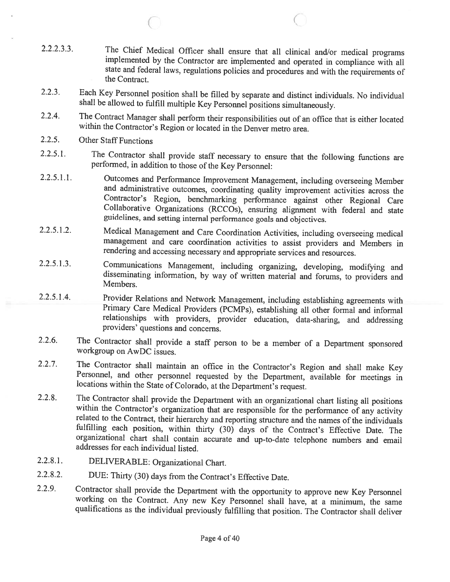2.2.2.3.3. The Chief Medical Officer shall ensure that all clinical and/or medical programs implemented by the Contractor are implemented and operated in compliance with all state and federal laws, regulations policies and procedures and with the requirements of the Contract.

 $\big($ 

- 2.2.3. Each Key Personnel position shall be filled by separate and distinct individuals. No individual shall be allowed to fulfill multiple Key Personnel positions simultaneously.
- 2.2.4. The Contract Manager shall perform their responsibilities out of an office that is either located within the Contractor's Region or located in the Denver metro area.
- 2.2.5. Other Staff Functions

C

- 2.2.5.1. The Contractor shall provide staff necessary to ensure that the following functions are performed, in addition to those of the Key Personnel:
- 2.2.5.1.1. Outcomes and Performance Improvement Management, including overseeing Member and administrative outcomes, coordinating quality improvement activities across the Contractor's Region, benchmarking performance agai Collaborative Organizations (RCCOs), ensuring alignment with federal and state guidelines, and setting internal performance goals and objectives.
- 2.2.5.1.2. Medical Management and Care Coordination Activities, including overseeing medical management and care coordination activities to assist providers and Members in rendering and accessing necessary and appropriate services and resources.
- 2.2.5.1.3. Communications Management, including organizing, developing, modifying and disseminating information, by way of written material and forums, to providers and Members.
- 2.2.5.1.4. Provider Relations and Network Management, including establishing agreements with<br>Primary Care Medical Providers (PCMPs), establishing all other formal and informal<br>relationships with providers, provider educati
- 2.2.6. The Contractor shall provide <sup>a</sup> staff person to be <sup>a</sup> member of <sup>a</sup> Department sponsored workgroup on AwDC issues.
- 2.2.7. The Contractor shall maintain an office in the Contractor's Region and shall make Key Personnel, and other personnel requested by the Department, available for meetings in locations within the State of Colorado, at
- 2.2.8. The Contractor shall provide the Department with an organizational chart listing all positions within the Contractor's organization that are responsible for the performance of any activity related to the Contract, t organizational chart shall contain accurate and up-to-date telephone numbers and email addresses for each individual listed.
- 2.2.8.1. DELIVERABLE: Organizational Chart.
- 2.2.8.2. DUE: Thirty (30) days from the Contract's Effective Date.
- 2.2.9. Contractor shall provide the Department with the opportunity to approve new Key Personnel working on the Contract. Any new Key Personnel shall have, at <sup>a</sup> minimum, the same qualifications as the individual previously fulfilling that position. The Contractor shall deliver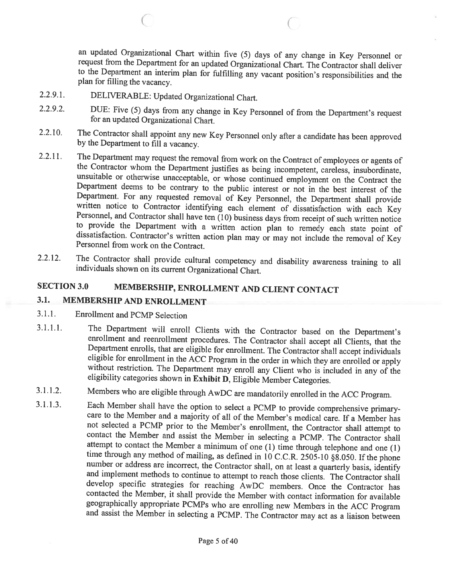an updated Organizational Chart within five (5) days of any change in Key Personnel or request from the Department for an updated Organizational Chart. The Contractor shall deliver to the Department an interim <sup>p</sup>lan for fulfilling any vacant position's responsibilities and the <sup>p</sup>lan for filling the vacancy.

C

2.2.9.1. DELIVERABLE: Updated Organizational Chart.

C

- 2.2.9.2. DUE: Five (5) days from any change in Key Personnel of from the Department's request for an updated Organizational Chart.
- 2.2.10. The Contractor shall appoint any new Key Personnel only after <sup>a</sup> candidate has been approved by the Department to fill <sup>a</sup> vacancy.
- 2.2.11. The Department may request the removal from work on the Contract of employees or agents of the Contractor whom the Department justifies as being incompetent, careless, insubordinate, unsuitable or otherwise unaccep
- 2.2.12. The Contractor shall provide cultural competency and disability awareness training to all individuals shown on its current Organizational Chart.

# SECTION 3.0 MEMBERSHIP, ENROLLMENT AND CLIENT CONTACT

### 3.1. MEMBERSHIP AND ENROLLMENT

- 3.1.1. Enrollment and PCMP Selection
- 3.1.1.1. The Department will enroll Clients with the Contractor based on the Department's enrollment and reenrollment procedures. The Contractor shall accept all Clients, that the Department enrolls, that are eligible for
- 3.1.1.2. Members who are eligible through AwDC are mandatorily enrolled in the ACC Program.
- 3.1.1.3. Each Member shall have the option to select <sup>a</sup> PCMP to provide comprehensive primarycare to the Member and a majority of all of the Member's medical care. If a Member has not selected a PCMP prior to the Member's enrollment, the Contractor shall attempt to contact the Member and assist the Member in selecting a PCMP. The Contractor shall attempt to contact the Member a minimum of one (1) time through telephone and one (1) time through any method of mailing, as defined in  $10$  C.C.R. 2505-10 §8.050. If the phone<br>number or address are incorrect, the Contractor shall, on at least a quarterly basis, identify<br>and implement methods to continue t contacted the Member, it shall provide the Member with contact information for available geographically appropriate PCMPs who are enrolling new Members in the ACC Program and assist the Member in selecting a PCMP. The Contractor may act as a liaison between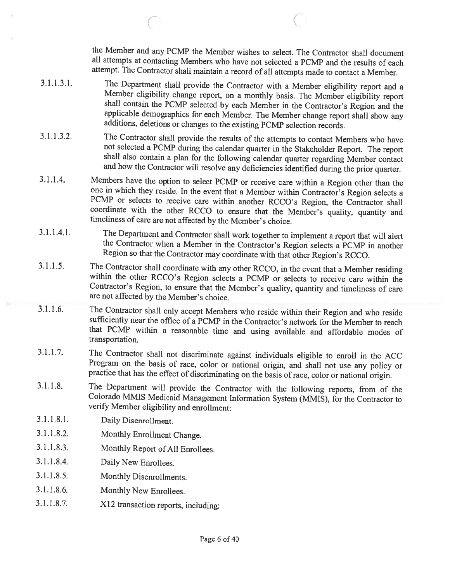the Member and any PCMP the Member wishes to select. The Contractor shall document all attempts at contacting Members who have not selected <sup>a</sup> PCMP and the results of each attempt. The Contractor shall maintain <sup>a</sup> record of all attempts made to contact <sup>a</sup> Member.

3.1.1.3.1. The Department shall provide the Contractor with a Member eligibility report and a Member eligibility change report, on a monthly basis. The Member eligibility report shall contain the PCMP selected by each Memb applicable demographics for each Member. The Member change report shall show any additions, deletions or changes to the existing PCMP selection records.

 $\overline{C}$ 

- 3.1.1.3.2. The Contractor shall provide the results of the attempts to contact Members who have not selected a PCMP during the calendar quarter in the Stakeholder Report. The report shall also contain a plan for the following calendar quarter regarding Member contact and how the Contractor will resolve any deficiencies identified during the prior quarter.
- 3.1.1.4. Members have the option to select PCMP or receive care within a Region other than the one in which they reside. In the event that a Member within Contractor's Region selects a PCMP or selects to receive care within another RCCO's Region, the Contractor shall coordinate with the other RCCO to ensure that the Member's quality, quantity and timeliness of care are not affected by the Member's choice
- 3.1.1.4.1. The Department and Contractor shall work together to implement a report that will alert<br>the Contractor when a Member in the Contractor's Region selects a PCMP in another<br>Region so that the Contractor may coordin
- 3.1.1.5. The Contractor shall coordinate with any other RCCO, in the event that <sup>a</sup> Member residing within the other RCCO's Region selects <sup>a</sup> PCMP or selects to receive care within the Contractor's Region, to ensure that the Member's quality, quantity and timeliness of care are not affected by the Member's choice.
- 3.1.1.6. The Contractor shall only accept Members who reside within their Region and who reside sufficiently near the office of <sup>a</sup> PCMP in the Contractor's network for the Member to reach that PCMP within <sup>a</sup> reasonable time and using available and affordable modes of transportation.
- 3.1.1.7. The Contractor shall not discriminate against individuals eligible to enroll in the ACC<br>Program on the basis of race, color or national origin, and shall not use any policy or<br>practice that has the effect of discr
- 3.1.1.8. The Department will provide the Contractor with the following reports, from of the Colorado MMIS Medicaid Management Information System (MMIS), for the Contractor to verify Member eligibility and enrollment:
- 3.1.1.8.1. Daily Disenrollment.
- 3.1.1.8.2. Monthly Enrollment Change.
- 3.1.1.8.3. Monthly Report of All Enrollees.
- 3.1.1.8.4. Daily New Enrollees.
- 3.1.1.8.5. Monthly Disenroilments.
- 3.1.1.8.6. Monthly New Enrollees.
- 3.1.1.8.7. X12 transaction reports, including: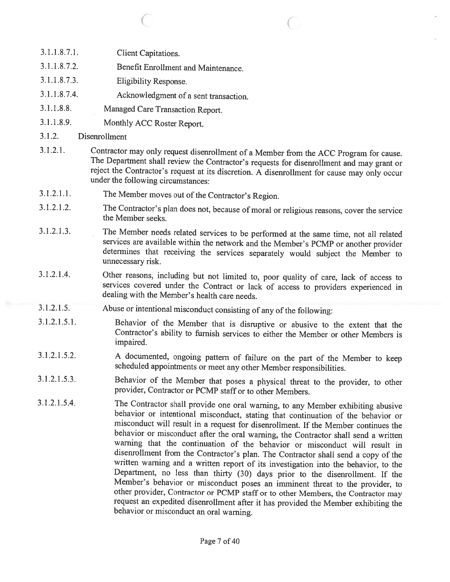- 3.1.1.8.7.1. Client Capitations.
- 3.1.1.8.7.2. Benefit Enrollment and Maintenance.
- 3.1.1.8.7.3. Eligibility Response.
- 3.1.1.8.7.4. Acknowledgment of <sup>a</sup> sent transaction.
- 3.1.1.8.8. Managed Care Transaction Report.
- 3.1.1.8.9. Monthly ACC Roster Report.
- 3.1.2. Disenrollinent
- 3.1.2.1. Contractor may only request disenrollment of a Member from the ACC Program for cause.<br>The Department shall review the Contractor's requests for disenrollment and may grant or reject the Contractor's request at its

 $\begin{array}{ccc} \circ & \circ & \circ \end{array}$ 

- 3.1.2.1.1. The Member moves out of the Contractor's Region.
- 3.1.2.1.2. The Contractor's <sup>p</sup>lan does not, because of moral or religious reasons, cover the service the Member seeks.
- 3.1.2.1.3. The Member needs related services to be performed at the same time, not all related determines that receiving the services separately would subject the Member to unnecessary risk.
- 3.1.2.1.4. Other reasons, including but not limited to, poor quality of care, lack of access to services covered under the Contract or lack of access to providers experienced in dealing with the Member's health care needs.
- 3.1.2.1.5. Abuse or intentional misconduct consisting of any of the following:
- 3.1.2.1.5.1. Behavior of the Member that is disruptive or abusive to the extent that the Contractor's ability to furnish services to either the Member or other Members is impaired.
- 3.1.2.1.5.2. <sup>A</sup> documented, ongoing pattern of failure on the part of the Member to keep scheduled appointments or meet any other Member responsibilities.
- 3.1.2.1.5.3. Behavior of the Member that poses <sup>a</sup> <sup>p</sup>hysical threat to the provider, to other provider, Contractor or PCMP staff or to other Members.
- 3.1.2.1.5.4. The Contractor shall provide one oral warning, to any Member exhibiting abusive behavior or intentional misconduct, stating that continuation of the behavior or misconduct will result in a request for disenrollment. If the Member continues the behavior or misconduct after the oral warning, the Contractor shall send <sup>a</sup> written warning that the continuation of the behavior or misconduct will result in disenroliment from the Contractor's <sup>p</sup>lan. The Contractor shall send <sup>a</sup> copy of the written warning and <sup>a</sup> written report of its investigation into the behavior, to the Department, no less than thirty (30) days prior to the disenrollment. If the Member's behavior or misconduct poses an imminent threat to the provider, to other provider, Contractor or PCMP staff or to other Members, the Contractor may request an expedited disenrollment after it has provided the Member exhibiting the behavior or misconduct an oral warning.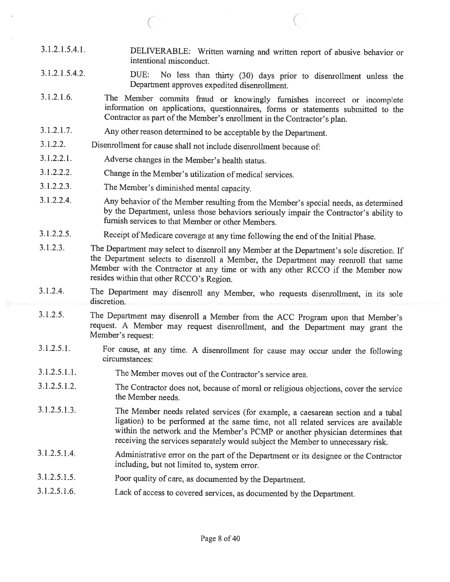3.1.2.1.5.4.1. DELIVERABLE: Written warning and written report of abusive behavior or intentional misconduct.

 $\circ$  C

- 3.1.2.1.5.4.2. DUE: No less than thirty (30) days prior to disenroliment unless the Department approves expedited disenroliment.
- 3.1.2.1.6. The Member commits fraud or knowingly furnishes incorrect or incomplete information on applications, questionnaires, forms or statements submitted to the Contractor as part of the Member's enrollment in the Contractor's plan.
- 3.1.2.1.7. Any other reason determined to be acceptable by the Department.
- 3.1.2.2. Disenroilment for cause shall not include disenroilment because of:
- 3.1.2.2.1. Adverse changes in the Member's health status.
- 3.1.2.2.2. Change in the Member's utilization of medical services.
- 3.1.2.2.3. The Member's diminished mental capacity.
- 3.1.2.2.4. Any behavior of the Member resulting from the Member's special needs, as determined by the Department, unless those behaviors seriously impair the Contractor's ability to furnish services to that Member or other Members.
- 3.1.2.2.5. Receipt of Medicare coverage at any time following the end of the Initial Phase.
- 3.1.2.3. The Department may select to disenroll any Member at the Department's sole discretion. If Member with the Contractor at any time or with any other RCCO if the Member now resides within that other RCCO's Region.
- 3.1.2.4. The Department may disenroll any Member, who requests disenroliment, in its sole discretion.
- 3.1.2.5. The Department may disenroll <sup>a</sup> Member from the ACC Program upon that Member's request. <sup>A</sup> Member may request disenroliment, and the Department may grant the Member's request:
- 3.1.2.5.1. For cause, at any time. <sup>A</sup> disenroliment for cause may occur under the following circumstances:
- 3.1.2.5.1.1. The Member moves out of the Contractor's service area.
- 3.1.2.5.1.2. The Contractor does not, because of moral or religious objections, cover the service the Member needs.
- 3.1.2.5.1.3. The Member needs related services (for example, <sup>a</sup> caesarean section and <sup>a</sup> tubal ligation) to be performed at the same time, not all related services are available within the network and the Member's PCMP or another <sup>p</sup>hysician determines that receiving the services separately would subject the Member to unnecessary risk.
- 3.1.2.5.1.4. Administrative error on the part of the Department or its designee or the Contractor including, but not limited to, system error.
- 3.1.2.5.1.5. Poor quality of care, as documented by the Department.
- 3.1.2.5.1.6. Lack of access to covered services, as documented by the Department.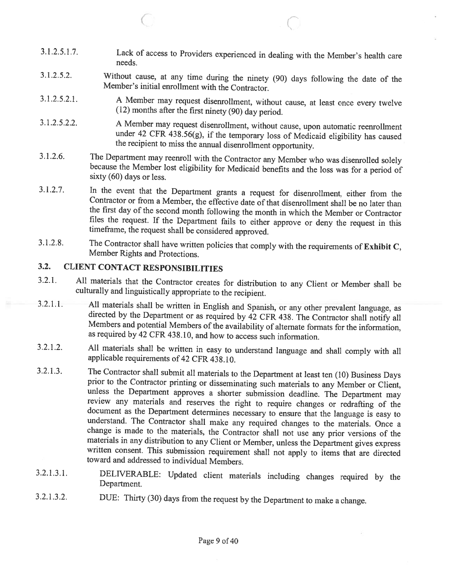3.1.2.5.1.7. Lack of access to Providers experienced in dealing with the Member's health care needs.

C

- 3.1.2.5.2. Without cause, at any time during the ninety (90) days following the date of the Member's initial enrollment with the Contractor.
- 3.1.2.5.2.1. A Member may request disenrollment, without cause, at least once every twelve (12) months after the first ninety (90) day period.
- 3.1.2.5.2.2. A Member may request disenrollment, without cause, upon automatic reenrollment <sup>4</sup>38.56(g), if the temporary loss of Medicaid eligibility has caused the recipient to miss the annual disenroilment opportunity.
- 3.1.2.6. The Department may reenroll with the Contractor any Member who was disenrolled solely because the Member lost eligibility for Medicaid benefits and the loss was for <sup>a</sup> period of sixty (60) days or less.
- 3.1.2.7. In the event that the Department grants a request for disenrollment, either from the Contractor or from a Member, the effective date of that disenrollment shall be no later than the first day of the second month f files the request. If the Department fails to either approve or deny the request in this timeframe, the request shall be considered approved.
- 3.1.2.8. The Contractor shall have written policies that comply with the requirements of Exhibit C, Member Rights and Protections.

## 3.2. CLIENT CONTACT RESPONSIBILITIES

C

- 3.2.1. All materials that the Contractor creates for distribution to any Client or Member shall be culturally and linguistically appropriate to the recipient.
- 3.2.1.1. All materials shall be written in English and Spanish, or any other prevalent language, as directed by the Department or as required by 42 CFR 438. The Contractor shall notify all Members and potential Members of as required by <sup>42</sup> CFR 438.10, and how to access such information.
- 3.2.1.2. All materials shall be written in easy to understand language and shall comply with all applicable requirements of 42 CFR 438.10.
- 3.2.1.3. The Contractor shall submit all materials to the Department at least ten (10) Business Days prior to the Contractor printing or disseminating such materials to any Member or Client, unless the Department approves a shorter submission deadline. The Department may<br>review any materials and reserves the right to require changes or redrafting of the<br>document as the Department determines necessary to ensure
- 3.2.1.3.1. DELIVERABLE: Updated client materials including changes required by the Department.
- 3.2.1.3.2. DUE: Thirty (30) days from the request by the Department to make <sup>a</sup> change.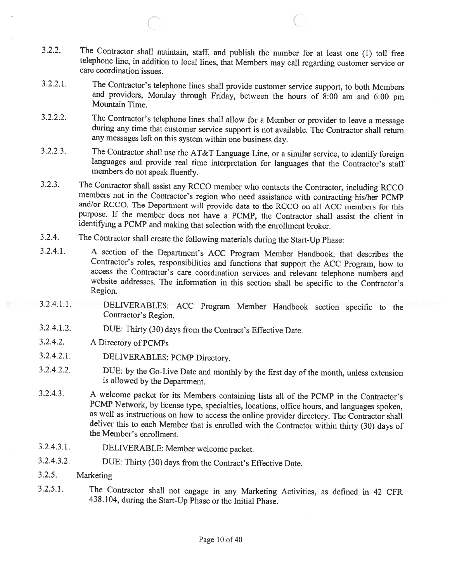3.2.2. The Contractor shall maintain, staff, and publish the number for at least one (1) toll free telephone line, in addition to local lines, that Members may call regarding customer service or care coordination issues.

 $\overline{C}$  c

- 3.2.2.1. The Contractor's telephone lines shall provide customer service support, to both Members and providers, Monday through Friday, between the hours of 8:00 am and 6:00 pm Mountain Time.
- 3.2.2.2. The Contractor's telephone lines shall allow for <sup>a</sup> Member or provider to leave <sup>a</sup> message during any time that customer service support is not available. The Contractor shall return any messages left on this system within one business day.
- 3.2.2.3. The Contractor shall use the AT&T Language Line, or <sup>a</sup> similar service, to identify foreign languages and provide real time interpretation for languages that the Contractor's staff members do not speak fluently.
- 3.2.3. The Contractor shall assist any RCCO member who contacts the Contractor, including RCCO members not in the Contractor's region who need assistance with contracting his/her PCMP and/or RCCO. The Department will provi purpose. If the member does not have <sup>a</sup> PCMP, the Contractor shall assist the client in identifying <sup>a</sup> PCMP and making that selection with the enrollment broker.
- 3.2.4. The Contractor shall create the following materials during the Start-Up Phase:
- 3.2.4.1. <sup>A</sup> section of the Department's ACC Program Member Handbook, that describes the Contractor's roles, responsibilities and functions that support the ACC Program, how to access the Contractor's care coordination services and relevant telephone numbers and website addresses. The information in this section shall be specific to the Contractor's Region.
- 3.2.4.1.1. DELIVERABLES: ACC Program Member Handbook section specific to the Contractor's Region.
- 3.2.4.1.2. DUE: Thirty (30) days from the Contract's Effective Date.
- 3.2.4.2. <sup>A</sup> Directory of PCMPs
- 3.2.4.2.1. DELIVERABLES: PCMP Directory.
- 3.2.4.2.2. DUE: by the Go-Live Date and monthly by the first day of the month, unless extension is allowed by the Department.
- 3.2.4.3. <sup>A</sup> welcome packet for its Members containing lists all of the PCMP in the Contractor's PCMP Network, by license type, specialties, locations, office hours, and languages spoken, as well as instructions on how to access the online provider directory. The Contractor shall deliver this to each Member that is enrolled with the Contractor within thirty (30) days of the Member's enrollment.
- 3.2.4.3.1. DELIVERABLE: Member welcome packet.
- 3.2.4.3.2. DUE: Thirty (30) days from the Contract's Effective Date.
- 3.2.5. Marketing
- 3.2.5.1. The Contractor shall not engage in any Marketing Activities, as defined in <sup>42</sup> CFR 438.104, during the Start-Up Phase or the Initial Phase.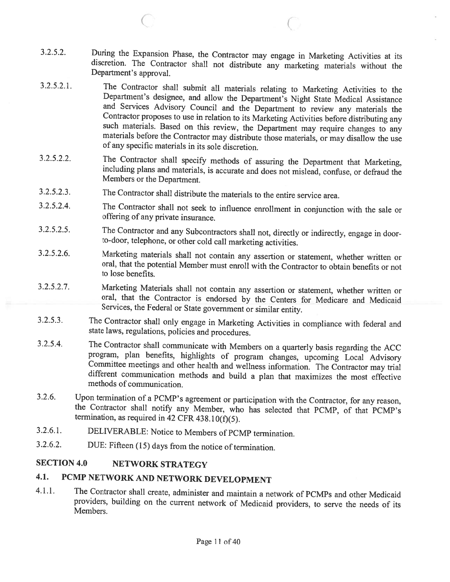3.2.5.2. During the Expansion Phase, the Contractor may engage in Marketing Activities at its discretion. The Contractor shall not distribute any marketing materials without the Department's approval.

C C

- 3.2.5.2.1. The Contractor shall submit all materials relating to Marketing Activities to the Department's designee, and allow the Department's Night State Medical Assistance and Services Advisory Council and the Department
- 3.2.5.2.2. The Contractor shall specify methods of assuring the Department that Marketing, including <sup>p</sup>lans and materials, is accurate and does not mislead, confuse, or defraud the Members or the Department.
- 3.2.5.2.3. The Contractor shall distribute the materials to the entire service area.
- 3.2.5.2.4. The Contractor shall not seek to influence enrollment in conjunction with the sale or offering of any private insurance.
- 3.2.5.2.5. The Contractor and any Subcontractors shall not, directly or indirectly, engage in door- to-door, telephone, or other cold call marketing activities.
- 3.2.5.2.6. Marketing materials shall not contain any assertion or statement, whether written or oral, that the potential Member must enroll with the Contractor to obtain benefits or not to lose benefits.
- 3.2.5.2.7. Marketing Materials shall not contain any assertion or statement, whether written or oral, that the Contractor is endorsed by the Centers for Medicare and Medicaid Services, the Federal or State government or si
- 3.2.5.3. The Contractor shall only engage in Marketing Activities in compliance with federal and state laws, regulations, policies and procedures.
- 3.2.5.4. The Contractor shall communicate with Members on a quarterly basis regarding the ACC program, plan benefits, highlights of program changes, upcoming Local Advisory Committee meetings and other health and wellness information. The Contractor may trial different communication methods and build a plan that maximizes the most effective methods of communication.
- 3.2.6. Upon termination of a PCMP's agreement or participation with the Contractor, for any reason, the Contractor shall notify any Member, who has selected that PCMP, of that PCMP's termination, as required in 42 CFR 438
- 3.2.6.1. DELIVERABLE: Notice to Members of PCMP termination.
- 3.2.6.2. DUE: Fifteen (15) days from the notice of termination.

#### SECTION 4.0 NETWORK STRATEGY

## 4.1. PCMP NETWORK AND NETWORK DEVELOPMENT

4.1.1. The Contractor shall create, administer and maintain <sup>a</sup> network of PCMPs and other Medicaid providers, building on the current network of Medicaid providers, to serve the needs of its Members.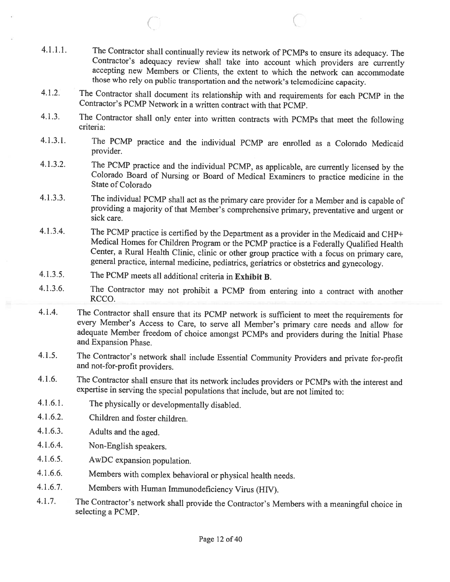4.1.1.1. The Contractor shall continually review its network of PCMPs to ensure its adequacy. The Contractor's adequacy review shall take into account which providers are currently accepting new Members or Clients, the ext those who rely on public transportation and the network's telemedicine capacity.

 $\circ$  C

- 4.1.2. The Contractor shall document its relationship with and requirements for each PCMP in the Contractor's PCMP Network in a written contract with that PCMP.
- 4.1.3. The Contractor shall only enter into written contracts with PCMPs that meet the following criteria:
- 4.1.3.1. The PCMP practice and the individual PCMP are enrolled as <sup>a</sup> Colorado Medicaid provider.
- 4.1.3.2. The PCMP practice and the individual PCMP, as applicable, are currently licensed by the Colorado Board of Nursing or Board of Medical Examiners to practice medicine in the State of Colorado
- 4.1.3.3. The individual PCMP shall act as the primary care provider for <sup>a</sup> Member and is capable of providing <sup>a</sup> majority of that Member's comprehensive primary, preventative and urgent or sick care.
- 4.1.3.4. The PCMP practice is certified by the Department as a provider in the Medicaid and CHP+<br>Medical Homes for Children Program or the PCMP practice is a Federally Qualified Health Center, a Rural Health Clinic, clinic or other group practice with a focus on primary care, general practice, internal medicine, pediatrics, geriatrics or obstetrics and gynecology.
- 4.1.3.5. The PCMP meets all additional criteria in Exhibit B.
- 4.1.3.6. The Contractor may not prohibit <sup>a</sup> PCMP from entering into <sup>a</sup> contract with another RCCO.
- 4.1.4. The Contractor shall ensure that its PCMP network is sufficient to meet the requirements for every Member's Access to Care, to serve all Member's primary care needs and allow for adequate Member freedom of choice amongst PCMPs and providers during the Initial Phase and Expansion Phase.
- 4.1.5. The Contractor's network shall include Essential Community Providers and private for-profit and not-for-profit providers.
- 4.1.6. The Contractor shall ensure that its network includes providers or PCMPs with the interest and expertise in serving the special populations that include, but are not limited to:
- 4.1.6.1. The <sup>p</sup>hysically or developmentally disabled.
- 4.1.6.2. Children and foster children.
- 4.1.6.3. Adults and the aged.
- 4.1.6.4. Non-English speakers.
- 4.1.6.5. AwDC expansion population.
- 4.1.6.6. Members with complex behavioral or <sup>p</sup>hysical health needs.
- 4.1.6.7. Members with Human Immunodeficiency Virus (HIV).
- 4.1.7. The Contractor's network shall provide the Contractor's Members with <sup>a</sup> meaningful choice in selecting <sup>a</sup> PCMP.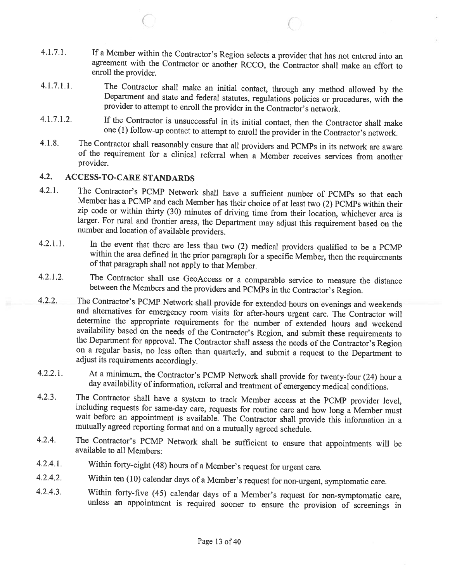- 4.1.7.1. If <sup>a</sup> Member within the Contractor's Region selects <sup>a</sup> provider that has not entered into an agreement with the Contractor or another RCCO, the Contractor shall make an effort to enroll the provider.
- 4.1.7.1.1. The Contractor shall make an initial contact, through any method allowed by the Department and state and federal statutes, regulations policies or procedures, with the provider to attempt to enroll the provider
- 4.1.7.1.2. If the Contractor is unsuccessful in its initial contact, then the Contractor shall make one (1) follow-up contact to attempt to enroll the provider in the Contractor's network.
- 4.1.8. The Contractor shall reasonably ensure that all providers and PCMPs in its network are aware of the requirement for <sup>a</sup> clinical referral when <sup>a</sup> Member receives services from another provider.

### 4.2. ACCESS-TO-CARE STANDARDS

C

- 4.2.1. The Contractor's PCMP Network shall have a sufficient number of PCMPs so that each Member has a PCMP and each Member has their choice of at least two (2) PCMPs within their zip code or within thirty (30) minutes of driving time from their location, whichever area is larger. For rural and frontier areas, the Department may adjust this requirement based on the number and location of available p
- 4.2.1.1. In the event that there are less than two (2) medical providers qualified to be a PCMP within the area defined in the prior paragraph for a specific Member, then the requirements of that paragraph shall not apply
- 4.2.1.2. The Contractor shall use GeoAccess or <sup>a</sup> comparable service to measure the distance between the Members and the providers and PCMPs in the Contractor's Region.
- 4.2.2. The Contractor's PCMP Network shall provide for extended hours on evenings and weekends<br>and alternatives for emergency room visits for after-hours urgent care. The Contractor will<br>determine the appropriate requireme the Department for approval. The Contractor shall assess the needs of the Contractor's Region on <sup>a</sup> regular basis, no less often than quarterly, and submit <sup>a</sup> request to the Department to adjust its requirements accordingly.
- 4.2.2.1. At <sup>a</sup> minimum, the Contractor's PCMP Network shall provide for twenty-four (24) hour <sup>a</sup> day availability of information, referral and treatment of emergency medical conditions.
- 4.2.3. The Contractor shall have a system to track Member access at the PCMP provider level, including requests for same-day care, requests for routine care and how long a Member must wait before an appointment is availabl
- 4.2.4. The Contractor's PCMP Network shall be sufficient to ensure that appointments will be available to all Members:
- 4.2.4.1. Within forty-eight (48) hours of <sup>a</sup> Member's request for urgent care.
- 4.2.4.2. Within ten (10) calendar days of <sup>a</sup> Member's request for non-urgent, symptomatic care.
- 4.2.4.3. Within forty-five (45) calendar days of <sup>a</sup> Member's request for non-symptomatic care, unless an appointment is required sooner to ensure the provision of screenings in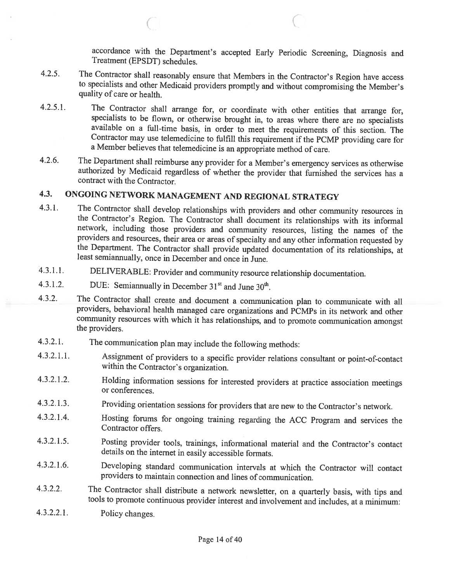accordance with the Department's accepted Early Periodic Screening, Diagnosis and Treatment (EPSDT) schedules.

- 4.2.5. The Contractor shall reasonably ensure that Members in the Contractor's Region have access to specialists and other Medicaid providers promptly and without compromising the Member's quality of care or health.
- 4.2.5.1. The Contractor shall arrange for, or coordinate with other entities that arrange for, specialists to be flown, or otherwise brought in, to areas where there are no specialists available on a full-time basis, in order to meet the requirements of this section. The Contractor may use telemedicine to fulfill this requirement if the PCMP providing care for <sup>a</sup> Member believes that telemedicine is an appropriate method of care.
- 4.2.6. The Department shall reimburse any provider for <sup>a</sup> Member's emergency services as otherwise authorized by Medicaid regardless of whether the provider that furnished the services has <sup>a</sup> contract with the Contractor.

## 4.3. ONGOING NETWORK MANAGEMENT AND REGIONAL STRATEGY

- 4.3.1. The Contractor shall develop relationships with providers and other community resources in the Contractor's Region. The Contractor shall document its relationships with its informal network, including those provider
- 4.3.1.1. DELIVERABLE: Provider and community resource relationship documentation.
- 4.3.1.2. DUE: Semiannually in December  $31<sup>st</sup>$  and June  $30<sup>th</sup>$ .

 $\left(\right.$ 

- 4.3.2. The Contractor shall create and document <sup>a</sup> communication <sup>p</sup>lan to communicate with all providers, behavioral health managed care organizations and PCMPs in its network and other community resources with which it has relationships, and to promote communication amongst the providers.
- 4.3.2.1. The communication <sup>p</sup>lan may include the following methods:
- 4.3.2.1.1. Assignment of providers to <sup>a</sup> specific provider relations consultant or point-of-contact within the Contractor's organization.
- 4.3.2.1.2. Holding information sessions for interested providers at practice association meetings or conferences.
- 4.3.2.1.3. Providing orientation sessions for providers that are new to the Contractor's network.
- 4.3.2.1.4. Hosting forums for ongoing training regarding the ACC Program and services the Contractor offers.
- 4.3.2.1.5. Posting provider tools, trainings, informational material and the Contractor's contact details on the internet in easily accessible formats.
- 4.3.2.1.6. Developing standard communication intervals at which the Contractor will contact providers to maintain connection and lines of communication.
- 4.3.2.2. The Contractor shall distribute <sup>a</sup> network newsletter, on <sup>a</sup> quarterly basis, with tips and tools to promote continuous provider interest and involvement and includes, at <sup>a</sup> minimum:
- 4.3.2.2.1. Policy changes.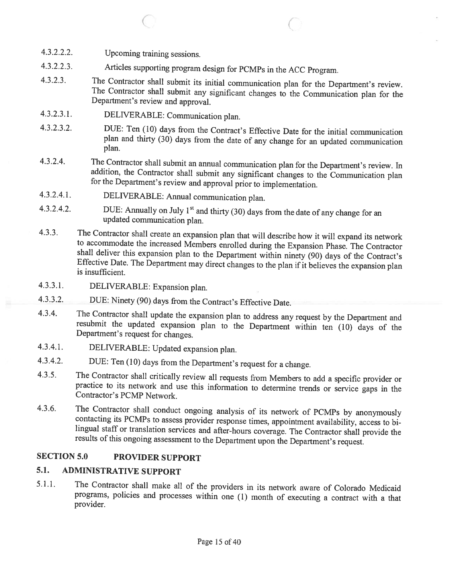- 4.3.2.2.2. Upcoming training sessions.
- 4.3.2.2.3. Articles supporting program design for PCMPs in the ACC Program.
- 4.3.2.3. The Contractor shall submit its initial communication <sup>p</sup>lan for the Department's review. The Contractor shall submit any significant changes to the Communication <sup>p</sup>lan for the Department's review and approval.

C C

- 4.3.2.3.1. DELIVERABLE: Communication <sup>p</sup>lan.
- 4.3.2.3.2. DUE: Ten (10) days from the Contract's Effective Date for the initial communication <sup>p</sup>lan and thirty (30) days from the date of any change for an updated communication plan.
- 4.3.2.4. The Contractor shall submit an annual communication plan for the Department's review. In addition, the Contractor shall submit any significant changes to the Communication plan for the Department's review and appr
- 4.3.2.4.1. DELIVERABLE: Annual communication <sup>p</sup>lan.
- 4.3.2.4.2. DUE: Annually on July 1<sup>st</sup> and thirty (30) days from the date of any change for an updated communication plan.
- 4.3.3. The Contractor shall create an expansion plan that will describe how it will expand its network to accommodate the increased Members enrolled during the Expansion Phase. The Contractor shall deliver this expansion p
- 4.3.3.1. DELIVERABLE: Expansion <sup>p</sup>lan.
- 4.3.3.2. DUE: Ninety (90) days from the Contract's Effective Date.
- 4.3.4. The Contractor shall update the expansion <sup>p</sup>lan to address any request by the Department and resubmit the updated expansion <sup>p</sup>lan to the Department within ten (10) days of the Department's request for changes.
- 4.3.4.1. DELIVERABLE: Updated expansion <sup>p</sup>lan.
- 4.3.4.2. DUE: Ten (10) days from the Department's request for <sup>a</sup> change.
- 4.3.5. The Contractor shall critically review all requests from Members to add <sup>a</sup> specific provider or practice to its network and use this information to determine trends or service gaps in the Contractor's PCMP Network.
- 4.3.6. The Contractor shall conduct ongoing analysis of its network of PCMPs by anonymously contacting its PCMPs to assess provider response times, appointment availability, access to bilingual staff or translation service

#### SECTION 5.0 PROVIDER SUPPORT

## 5.1. ADMINISTRATIVE SUPPORT

5.1.1. The Contractor shall make all of the providers in its network aware of Colorado Medicaid programs, policies and processes within one (1) month of executing <sup>a</sup> contract with <sup>a</sup> that provider.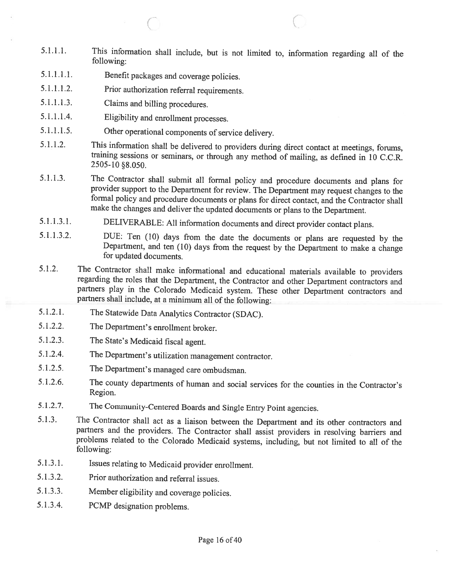- 5.1.1.1. This information shall include, but is not limited to, information regarding all of the following:
- 5.1.1.1.1. Benefit packages and coverage policies.

 $\subset$ 

- 5.1.1.1.2. Prior authorization referral requirements.
- 5.1.1.1.3. Claims and billing procedures.
- 5.1.1.1.4. Eligibility and enrollment processes.
- 5.1.1.1.5. Other operational components of service delivery.
- 5.1.1.2. This information shall be delivered to providers during direct contact at meetings, forums, training sessions or seminars, or through any method of mailing, as defined in 10 C.C.R. 2505-10 §8.050.
- 5.1.1.3. The Contractor shall submit all formal policy and procedure documents and <sup>p</sup>lans for provider support to the Department for review. The Department may request changes to the formal policy and procedure documents or <sup>p</sup>lans for direct contact, and the Contractor shall make the changes and deliver the updated documents or <sup>p</sup>lans to the Department.
- 5.1.1.3.1. DELIVERABLE: All information documents and direct provider contact <sup>p</sup>lans.
- 5.1.1.3.2. DUE: Ten (10) days from the date the documents or <sup>p</sup>lans are requested by the Department, and ten (10) days from the request by the Department to make <sup>a</sup> change for updated documents.
- 5.1.2. The Contractor shall make informational and educational materials available to providers regarding the roles that the Department, the Contractor and other Department contractors and partners <sup>p</sup>lay in the Colorado Medicaid system. These other Department contractors and partners shall include, at <sup>a</sup> minimum all of the following:
- 5.1.2.1. The Statewide Data Analytics Contractor (SDAC).
- 5.1.2.2. The Department's enrollment broker.
- 5.1.2.3. The State's Medicaid fiscal agent.
- 5.1.2.4. The Department's utilization management contractor.
- 5.1.2.5. The Department's managed care ombudsman.
- 5.1.2.6. The county departments of human and social services for the counties in the Contractor's Region.
- 5.1.2.7. The Community-Centered Boards and Single Entry Point agencies.
- 5.1.3. The Contractor shall act as a liaison between the Department and its other contractors and partners and the providers. The Contractor shall assist providers in resolving barriers and problems related to the Colorado Medicaid systems, including, but not limited to all of the following:
- 5.1.3.1. Issues relating to Medicaid provider enrollment.
- 5.1.3.2. Prior authorization and referral issues.
- 5.1.3.3. Member eligibility and coverage policies.
- 5.1.3.4. PCMP designation problems.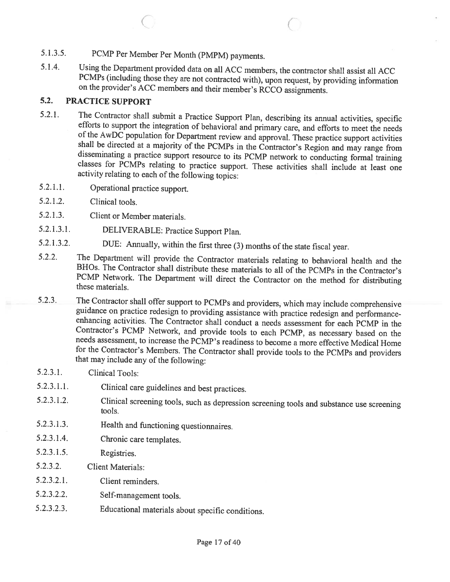# 5.1.3.5. PCMP Per Member Per Month (PMPM) payments.

5.1.4. Using the Department provided data on all ACC members, the contractor shall assist all ACC PCMPs (including those they are not contracted with), upon request, by providing information on the provider's ACC members and their member's RCCO assignments.

C

### 5.2. PRACTICE SUPPORT

- 5.2.1. The Contractor shall submit a Practice Support Plan, describing its annual activities, specific efforts to support the integration of behavioral and primary care, and efforts to meet the needs of the AwDC population
- 5.2.1.1. Operational practice support.
- 5.2.1.2. Clinical tools.
- 5.2.1.3. Client or Member materials.
- 5.2.1.3.1. DELIVERABLE: Practice Support Plan.
- 5.2.1.3.2. DUE: Annually, within the first three (3) months of the state fiscal year.
- 5.2.2. The Department will provide the Contractor materials relating to behavioral health and the BHOs. The Contractor shall distribute these materials to all of the PCMPs in the Contractor's PCMP Network. The Department will direct the Contractor on the method for distributing these materials.
- 5.2.3. The Contractor shall offer support to PCMPs and providers, which may include comprehensive guidance on practice redesign to providing assistance with practice redesign and performanceenhancing activities. The Contractor shall conduct a needs assessment for each PCMP in the Contractor's PCMP Network, and provide tools to each PCMP, as necessary based on the needs assessment, to increase the PCMP's readiness to become <sup>a</sup> more effective Medical Home for the Contractor's Members. The Contractor shall provide tools to the PCMPs and providers that may include any of the following:
- 5.2.3.1. Clinical Tools:
- 5.2.3.1.1. Clinical care guidelines and best practices.
- 5.2.3.1.2. Clinical screening tools, such as depression screening tools and substance use screening tools.
- 5.2.3.1.3. Health and functioning questionnaires.
- 5.2.3.1.4. Chronic care templates.
- 5.2.3.1.5. Registries.
- 5.2.3.2. Client Materials:
- 5.2.3.2.1. Client reminders.
- 5.2.3.2.2. Self-management tools.
- 5.2.3.2.3. Educational materials about specific conditions.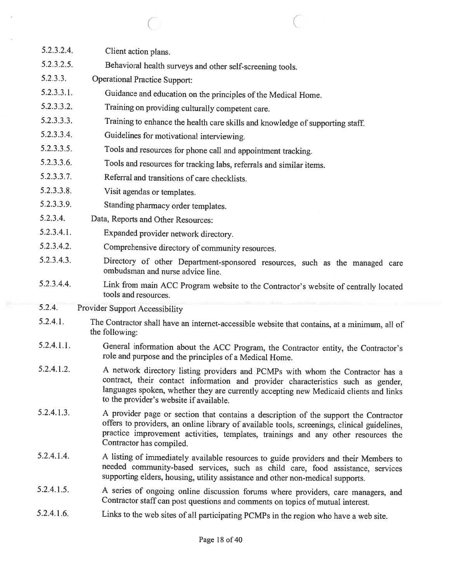| 5.2.3.2.4. | Client action plans.                                                                                                                                                                                                                                                                                   |
|------------|--------------------------------------------------------------------------------------------------------------------------------------------------------------------------------------------------------------------------------------------------------------------------------------------------------|
| 5.2.3.2.5. | Behavioral health surveys and other self-screening tools.                                                                                                                                                                                                                                              |
| 5.2.3.3.   | <b>Operational Practice Support:</b>                                                                                                                                                                                                                                                                   |
| 5.2.3.3.1. | Guidance and education on the principles of the Medical Home.                                                                                                                                                                                                                                          |
| 5.2.3.3.2. | Training on providing culturally competent care.                                                                                                                                                                                                                                                       |
| 5.2.3.3.3. | Training to enhance the health care skills and knowledge of supporting staff.                                                                                                                                                                                                                          |
| 5.2.3.3.4. | Guidelines for motivational interviewing.                                                                                                                                                                                                                                                              |
| 5.2.3.3.5. | Tools and resources for phone call and appointment tracking.                                                                                                                                                                                                                                           |
| 5.2.3.3.6. | Tools and resources for tracking labs, referrals and similar items.                                                                                                                                                                                                                                    |
| 5.2.3.3.7. | Referral and transitions of care checklists.                                                                                                                                                                                                                                                           |
| 5.2.3.3.8. | Visit agendas or templates.                                                                                                                                                                                                                                                                            |
| 5.2.3.3.9. | Standing pharmacy order templates.                                                                                                                                                                                                                                                                     |
| 5.2.3.4.   | Data, Reports and Other Resources:                                                                                                                                                                                                                                                                     |
| 5.2.3.4.1. | Expanded provider network directory.                                                                                                                                                                                                                                                                   |
| 5.2.3.4.2. | Comprehensive directory of community resources.                                                                                                                                                                                                                                                        |
| 5.2.3.4.3. | Directory of other Department-sponsored resources, such as the managed care<br>ombudsman and nurse advice line.                                                                                                                                                                                        |
| 5.2.3.4.4. | Link from main ACC Program website to the Contractor's website of centrally located<br>tools and resources.                                                                                                                                                                                            |
| 5.2.4.     | <b>Provider Support Accessibility</b>                                                                                                                                                                                                                                                                  |
| 5.2.4.1.   | The Contractor shall have an internet-accessible website that contains, at a minimum, all of<br>the following:                                                                                                                                                                                         |
| 5.2.4.1.1. | General information about the ACC Program, the Contractor entity, the Contractor's<br>role and purpose and the principles of a Medical Home.                                                                                                                                                           |
| 5.2.4.1.2. | A network directory listing providers and PCMPs with whom the Contractor has a<br>contract, their contact information and provider characteristics such as gender,<br>languages spoken, whether they are currently accepting new Medicaid clients and links<br>to the provider's website if available. |
| 5.2.4.1.3. | A provider page or section that contains a description of the support the Contractor<br>offers to providers, an online library of available tools, screenings, clinical guidelines,<br>practice improvement activities, templates, trainings and any other resources the<br>Contractor has compiled.   |
| 5.2.4.1.4. | A listing of immediately available resources to guide providers and their Members to<br>needed community-based services, such as child care, food assistance, services<br>supporting elders, housing, utility assistance and other non-medical supports.                                               |
| 5.2.4.1.5. | A series of ongoing online discussion forums where providers, care managers, and<br>Contractor staff can post questions and comments on topics of mutual interest.                                                                                                                                     |
| 5.2.4.1.6. | Links to the web sites of all participating PCMPs in the region who have a web site.                                                                                                                                                                                                                   |
|            |                                                                                                                                                                                                                                                                                                        |

 $\overline{\text{C}}$  contracts to  $\overline{\text{C}}$ 

 $\overline{\mathcal{X}}$ 

 $\overline{\omega}$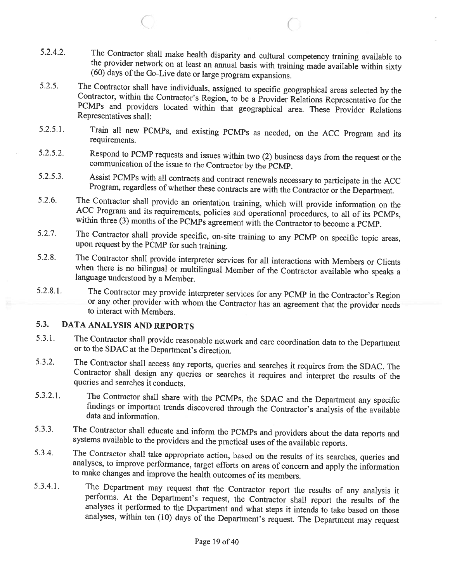5.2.4.2. The Contractor shall make health disparity and cultural competency training available to the provider network on at least an annual basis with training made available within sixty (60) days of the Go-Live date or

 $\big($ 

C

- 5.2.5. The Contractor shall have individuals, assigned to specific geographical areas selected by the Contractor, within the Contractor's Region, to be a Provider Relations Representative for the PCMPs and providers locate
- 5.2.5.1. Train all new PCMPs, and existing PCMPs as needed, on the ACC Program and its requirements.
- 5.2.5.2. Respond to PCMP requests and issues within two (2) business days fiom the request or the communication ofthe issue to the Contractor by the PCMP.
- 5.2.5.3. Assist PCMPs with all contracts and contract renewals necessary to participate in the ACC Program, regardless of whether these contracts are with the Contractor or the Department.<br>5.2.6. The Contractor shall provi
- ACC Program and its requirements, policies and operational procedures, to all of its PCMPs, within three (3) months of the PCMPs agreement with the Contractor to become a PCMP.
- 5.2.7. The Contractor shall provide specific, on-site training to any PCMP on specific topic areas, upon request by the PCMP for such training.
- 5.2.8. The Contractor shall provide interpreter services for all interactions with Members or Clients when there is no bilingual or multilingual Member of the Contractor available who speaks a language understood by a Memb
- 5.2.8.1. The Contractor may provide interpreter services for any PCMP in the Contractor's Region or any other provider with whom the Contractor has an agreement that the provider needs to interact with Members.

## 5.3. DATA ANALYSIS AND REPORTS

- 5.3.1. The Contractor shall provide reasonable network and care coordination data to the Department or to the SDAC at the Department's direction.
- 5.3.2. The Contractor shall access any reports, queries and searches it requires from the SDAC. The Contractor shall design any queries or searches it requires and interpret the results of the queries and searches it condu
- 5.3.2.1. The Contractor shall share with the PCMPs, the SDAC and the Department any specific findings or important trends discovered through the Contractor's analysis of the available data and information.
- 5.3.3. The Contractor shall educate and inform the PCMPs and providers about the data reports and systems available to the providers and the practical uses of the available reports.
- 5.3.4. The Contractor shall take appropriate action, based on the results of its searches, queries and analyses, to improve performance, target efforts on areas of concern and apply the information to make changes and impr
- 5.3.4.1. The Department may request that the Contractor report the results of any analysis it performs. At the Department's request, the Contractor shall report the results of the analyses it performed to the Department an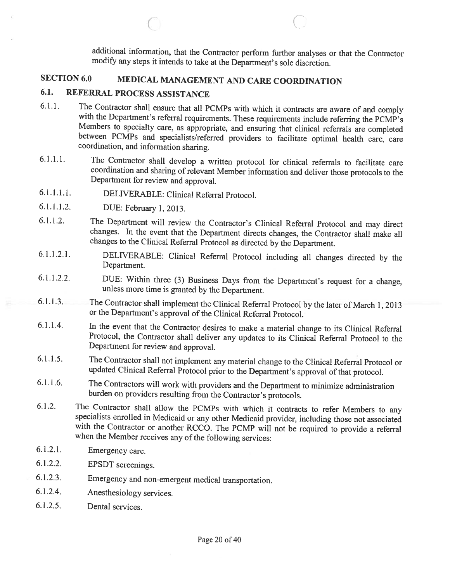additional information, that the Contractor perform further analyses or that the Contractor modify any steps it intends to take at the Department's sole discretion.

## SECTION 6.0 MEDICAL MANAGEMENT AND CARE COORDINATION

## 6.1. REFERRAL PROCESS ASSISTANCE

6.1.1. The Contractor shall ensure that all PCMPs with which it contracts are aware of and comply with the Department's referral requirements. These requirements include referring the PCMP's Members to specialty care, as a

 $\bigcirc$  contracts to  $\bigcirc$ 

- 6.1.1.1. The Contractor shall develop <sup>a</sup> written protocol for clinical referrals to facilitate care coordination and sharing of relevant Member information and deliver those protocols to the Department for review and approval.
- 6.1.1.1.1. DELIVERABLE: Clinical Referral Protocol.
- 6.1.1.1.2. DUE: February 1,2013.
- 6.1.1.2. The Department will review the Contractor's Clinical Referral Protocol and may direct changes. In the event that the Department directs changes, the Contractor shall make all changes to the Clinical Referral Protocol as directed by the Department.
- 6.1.1.2.1. DELIVERABLE: Clinical Referral Protocol including all changes directed by the Department.
- 6.1.1.2.2. DUE: Within three (3) Business Days from the Department's request for <sup>a</sup> change, unless more time is granted by the Department.
- 6.1.1.3. The Contractor shall implement the Clinical Referral Protocol by the later of March 1, <sup>2013</sup> or the Department's approval of the Clinical Referral Protocol.
- 6.1.1.4. In the event that the Contractor desires to make <sup>a</sup> material change to its Clinical Referral Protocol, the Contractor shall deliver any updates to its Clinical Referral Protocol to the Department for review and approval.
- 6.1.1.5. The Contractor shall not implement any material change to the Clinical Referral Protocol or updated Clinical Referral Protocol prior to the Department's approval of that protocol.
- 6.1.1.6. The Contractors will work with providers and the Department to minimize administration burden on providers resulting from the Contractor's protocols.
- 6.1.2. The Contractor shall allow the PCMPs with which it contracts to refer Members to any specialists enrolled in Medicaid or any other Medicaid provider, including those not associated with the Contractor or another RCCO. The PCMP will not be required to provide a referral when the Member receives any of the following services:
- 6.1.2.1. Emergency care.
- 6.1.2.2. EPSDT screenings.
- 6.1.2.3. Emergency and non-emergent medical transportation.
- 6.1.2.4. Anesthesiology services.
- 6.1.2.5. Dental services.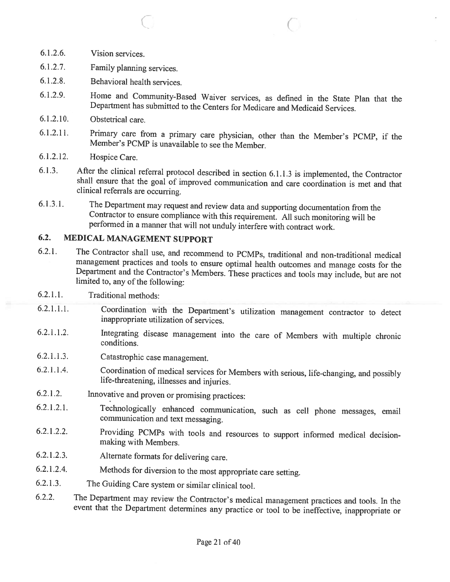- 6.1.2.6. Vision services.
- 6.1.2.7. Family <sup>p</sup>lanning services.
- 6.1.2.8. Behavioral health services.
- 6.1.2.9. Home and Community-Based Waiver services, as defined in the State Plan that the Department has submitted to the Centers for Medicare and Medicaid Services.

C

- 6.1.2.10. Obstetrical care.
- 6.1.2.11. Primary care from <sup>a</sup> primary care <sup>p</sup>hysician, other than the Member's PCMP, if the Member's PCMP is unavailable to see the Member.
- 6.1.2.12. Hospice Care.
- 6.1.3. After the clinical referral protocol described in section 6.1.1.3 is implemented, the Contractor shall ensure that the goa<sup>l</sup> of improved communication and care coordination is met and that clinical referrals are occurring.
- 6.1.3.1. The Department may request and review data and supporting documentation from the Contractor to ensure compliance with this requirement. All such monitoring will be performed in <sup>a</sup> manner that will not unduly interfere with contract work.

### 6.2. MEDICAL MANAGEMENT SUPPORT

- 6.2.1. The Contractor shall use, and recommend to PCMPs, traditional and non-traditional medical management practices and tools to ensure optimal health outcomes and manage costs for the Department and the Contractor's Members. These practices and tools may include, but are not limited to, any of the following:
- 6.2.1 .1. Traditional methods:
- 6.2.1 .1.1. Coordination with the Department's utilization management contractor to detect inappropriate utilization of services.
- 6.2.1.1.2. Integrating disease management into the care of Members with multiple chronic conditions.
- 6.2.1.1.3. Catastrophic case management.
- 6.2.1.1.4. Coordination of medical services for Members with serious, life-changing, and possibly life-threatening, illnesses and injuries.
- 6.2.1.2. Innovative and proven or promising practices:
- 6.2.1.2.1. Technologically enhanced communication, such as cell <sup>p</sup>hone messages, email communication and text messaging.
- 6.2.1.2.2. Providing PCMPs with tools and resources to support informed medical decision- making with Members.
- 6.2.1.2.3. Alternate formats for delivering care.
- 6.2.1.2.4. Methods for diversion to the most appropriate care setting.
- 6.2.1.3. The Guiding Care system or similar clinical tool.
- 6.2.2. The Department may review the Contractor's medical management practices and tools. In the event that the Department determines any practice or tool to be ineffective, inappropriate or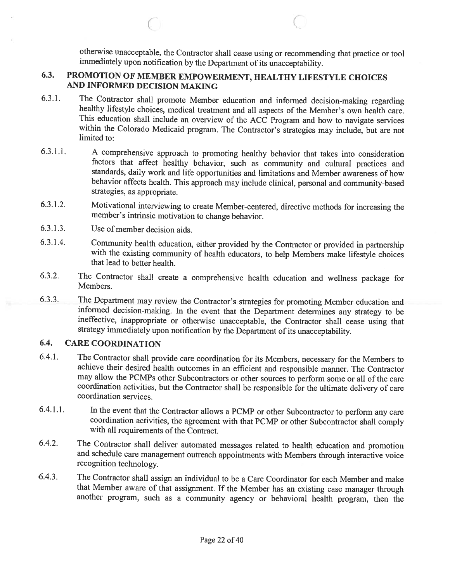otherwise unacceptable, the Contractor shall cease using or recommending that practice or tool immediately upon notification by the Department of its unacceptability.

#### 6.3. PROMOTION OF MEMBER EMPOWERMENT, HEALTHY LIFESTYLE CHOICES AND INFORMED DECISION MAKING

6.3.1. The Contractor shall promote Member education and informed decision-making regarding healthy lifestyle choices, medical treatment and all aspects of the Member's own health care.<br>This education shall include an over within the Colorado Medicaid program. The Contractor's strategies may include, but are not limited to:

 $\bigcirc$  contracts to  $\bigcirc$ 

- 6.3.1.1. <sup>A</sup> comprehensive approach to promoting healthy behavior that takes into consideration factors that affect healthy behavior, such as community and cultural practices and standards, daily work and life opportunities and limitations and Member awareness of how behavior affects health. This approach may include clinical, personal and community-based strategies, as appropriate.
- 6.3.1.2. Motivational interviewing to create Member-centered, directive methods for increasing the member's intrinsic motivation to change behavior.
- 6.3.1.3. Use of member decision aids.
- 6.3.1.4. Community health education, either provided by the Contractor or provided in partnership with the existing conmiunity of health educators, to help Members make lifestyle choices that lead to better health.
- 6.3.2. The Contractor shall create <sup>a</sup> comprehensive health education and weilness package for Members.
- 6.3.3. The Department may review the Contractor's strategies for promoting Member education and informed decision-making. In the event that the Department determines any strategy to be ineffective, inappropriate or otherwise unacceptable, the Contractor shall cease using that strategy immediately upon notification by the Department of its unacceptability.

#### 6.4. CARE COORDINATION

- 6.4.1. The Contractor shall provide care coordination for its Members, necessary for the Members to achieve their desired health outcomes in an efficient and responsible manner. The Contractor may allow the PCMPs other Subcontractors or other sources to perform some or all of the care coordination activities, but the Contractor shall be responsible for the ultimate delivery of care coordination services.
- 6.4.1.1. In the event that the Contractor allows a PCMP or other Subcontractor to perform any care coordination activities, the agreement with that PCMP or other Subcontractor shall comply with all requirements of the Contract.
- 6.4.2. The Contractor shall deliver automated messages related to health education and promotion and schedule care management outreach appointments with Members through interactive voice recognition technology.
- 6.4.3. The Contractor shall assign an individual to be <sup>a</sup> Care Coordinator for each Member and make that Member aware of that assignment. If the Member has an existing case manager through another program, such as <sup>a</sup> community agency or behavioral health program, then the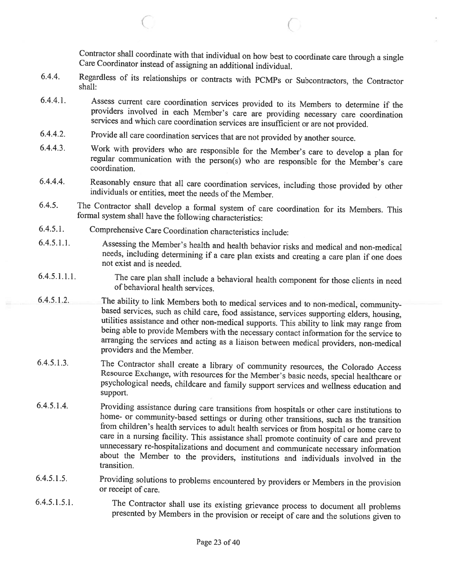Contractor shall coordinate with that individual on how best to coordinate care through <sup>a</sup> single Care Coordinator instead of assigning an additional individual.

 $\big($ 

- 6.4.4. Regardless of its relationships or contracts with PCMPs or Subcontractors, the Contractor shall:
- 6.4.4.1. Assess current care coordination services provided to its Members to determine if the providers involved in each Member's care are providing necessary care coordination services and which care coordination service
- 6.4.4.2. Provide all care coordination services that are not provided by another source.
- 6.4.4.3. Work with providers who are responsible for the Member's care to develop <sup>a</sup> <sup>p</sup>lan for regular communication with the person(s) who are responsible for the Member's care coordination.
- 6.4.4.4. Reasonably ensure that all care coordination services, including those provided by other individuals or entities, meet the needs of the Member.
- 6.4.5. The Contractor shall develop <sup>a</sup> formal system of care coordination for its Members. This formal system shall have the following characteristics:
- 6.4.5.1. Comprehensive Care Coordination characteristics include:

C

- 6.4.5.1 .1. Assessing the Member's health and health behavior risks and medical and non-medical needs, including determining if <sup>a</sup> care <sup>p</sup>lan exists and creating <sup>a</sup> care <sup>p</sup>lan if one does not exist and is needed.
- 6.4.5.1.1.1. The care <sup>p</sup>lan shall include <sup>a</sup> behavioral health component for those clients in need of behavioral health services.
- 6.4.5.1.2. The ability to link Members both to medical services and to non-medical, community-<br>based services, such as child care, food assistance, services supporting elders, housing,<br>utilities assistance and other non-me
- 6.4.5.1.3. The Contractor shall create a library of community resources, the Colorado Access<br>Resource Exchange, with resources for the Member's basic needs, special healthcare or<br>psychological needs, childcare and family s support.
- 6.4.5.1.4. Providing assistance during care transitions from hospitals or other care institutions to home- or community-based settings or during other transitions, such as the transition from children's health services to care in <sup>a</sup> nursing facility. This assistance shall promote continuity of care and prevent about the Member to the providers, institutions and individuals involved in the transition.
- 6.4.5.1.5. Providing solutions to problems encountered by providers or Members in the provision or receipt of care.
- 6.4.5.1.5.1. The Contractor shall use its existing grievance process to document all problems presented by Members in the provision or receipt of care and the solutions <sup>g</sup>iven to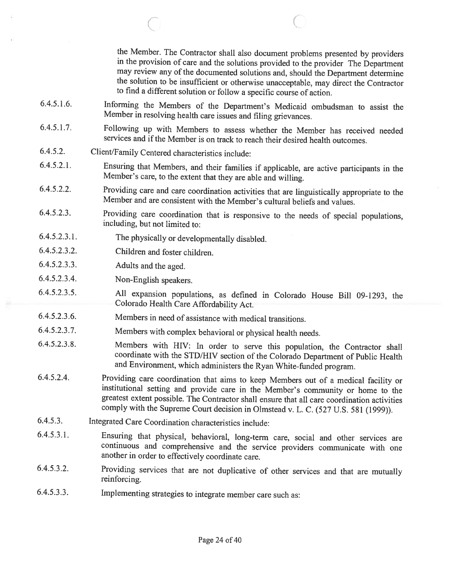the Member. The Contractor shall also document problems presented by providers in the provision of care and the solutions provided to the provider The Department the solution to be insufficient or otherwise unacceptable, may direct the Contractor to find <sup>a</sup> different solution or follow <sup>a</sup> specific course of action.

6.4.5.1.6. Informing the Members of the Department's Medicaid ombudsman to assist the Member in resolving health care issues and filing grievances.

 $\bigcirc$  (

- 6.4.5.1.7. Following up with Members to assess whether the Member has received needed services and if the Member is on track to reach their desired health outcomes.
- 6.4.5.2. Client/Family Centered characteristics include:
- 6.4.5.2.1. Ensuring that Members, and their families if applicable, are active participants in the Member's care, to the extent that they are able and willing.
- 6.4.5.2.2. Providing care and care coordination activities that are linguistically appropriate to the Member and are consistent with the Member's cultural beliefs and values.
- 6.4.5.2.3. Providing care coordination that is responsive to the needs of special populations, including, but not limited to:
- 6.4.5.2.3.1. The <sup>p</sup>hysically or developmentally disabled.
- 6.4.5.2.3.2. Children and foster children.
- 6.4.5.2.3.3. Adults and the aged.
- 6.4.5.2.3.4. Non-English speakers.
- 6.4.5.2.3.5. All expansion populations, as defined in Colorado House Bill 09-1293, the Colorado Health Care Affordability Act.
- 6.4.5.2.3.6. Members in need of assistance with medical transitions.
- 6.4.5.2.3.7. Members with complex behavioral or <sup>p</sup>hysical health needs.
- 6.4.5.2.3.8. Members with HIV: In order to serve this population, the Contractor shall coordinate with the STD/HIV section of the Colorado Department of Public Health and Environment, which administers the Ryan White-funded program.
- 6.4.5.2.4. Providing care coordination that aims to keep Members out of <sup>a</sup> medical facility or institutional setting and provide care in the Member's community or home to the greatest extent possible. The Contractor shall ensure that all care coordination activities comply with the Supreme Court decision in Olmstead v. L. C. (527 U.S. <sup>581</sup> (1999)).
- 6.4.5.3. Integrated Care Coordination characteristics include:
- 6.4.5.3.1. Ensuring that <sup>p</sup>hysical, behavioral, long-term care, social and other services are continuous and comprehensive and the service providers communicate with one another in order to effectively coordinate care.
- 6.4.5.3.2. Providing services that are not duplicative of other services and that are mutually reinforcing.
- 6.4.5.3.3. Implementing strategies to integrate member care such as: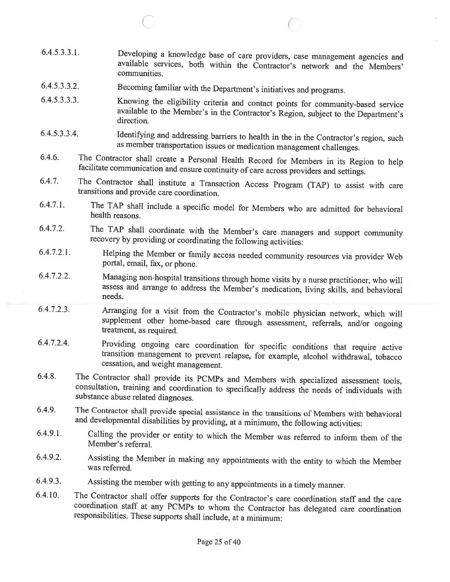- C C 6.4.5.3.3.1. Developing <sup>a</sup> knowledge base of care providers, case management agencies and available services, both within the Contractor's network and the Members' communities. 6.4.5.3.3.2. Becoming familiar with the Department's initiatives and programs. 6.4.5.3.3.3. Knowing the eligibility criteria and contact points for community-based service available to the Member's in the Contractor's Region, subject to the Department's direction. 6.4.5.3.3.4. Identifying and addressing barriers to health in the in the Contractor's region, such as member transportation issues or medication management challenges. 6.4.6. The Contractor shall create <sup>a</sup> Personal Health Record for Members in its Region to help facilitate communication and ensure continuity of care across providers and settings. 6.4.7. The Contractor shall institute <sup>a</sup> Transaction Access Program (TAP) to assist with care transitions and provide care coordination. 6.4.7.1. The TAP shall include <sup>a</sup> specific model for Members who are admitted for behavioral health reasons. 6.4.7.2. The TAP shall coordinate with the Member's care managers and support community recovery by providing or coordinating the following activities: 6.4.7.2.1. Helping the Member or family access needed community resources via provider Web portal, email, fax, or phone. 6.4.7.2.2. Managing non-hospital transitions through home visits by <sup>a</sup> nurse practitioner, who will assess and arrange to address the Member's medication, living skills, and behavioral needs. 6.4.7.2.3. Arranging for <sup>a</sup> visit from the Contractor's mobile <sup>p</sup>hysician network, which will supplement other home-based care through assessment, referrals, and/or ongoing treatment, as required. 6.4.7.2.4. Providing ongoing care coordination for specific conditions that require active transition management to prevent relapse, for example, alcohol withdrawal, tobacco cessation, and weight management.
- 6.4.8. The Contractor shall provide its PCMPs and Members with specialized assessment tools, consultation, training and coordination to specifically address the needs of individuals with substance abuse related diagnoses.
- 6.4.9. The Contractor shall provide special assistance in the transitions of Members with behavioral and developmental disabilities by providing, at <sup>a</sup> minimum, the following activities:
- 6.4.9.1. Calling the provider or entity to which the Member was referred to inform them of the Member's referral.
- 6.4.9.2. Assisting the Member in making any appointments with the entity to which the Member was referred.
- 6.4.9.3. Assisting the member with getting to any appointments in <sup>a</sup> timely manner.
- 6.4.10. The Contractor shall offer supports for the Contractor's care coordination staff and the care coordination staff at any PCMPs to whom the Contractor has delegated care coordination responsibilities. These supports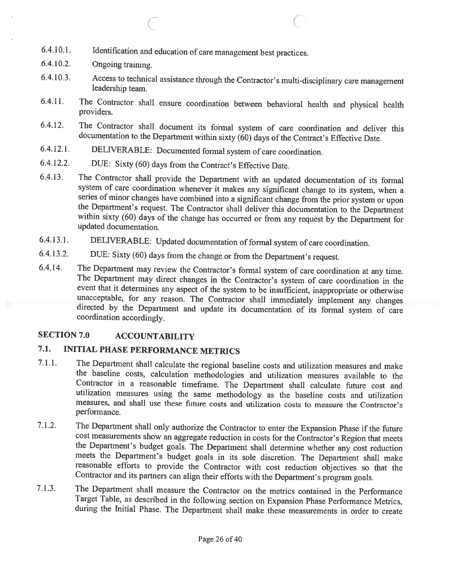- 6.4.10.1. Identification and education of care management best practices.
- 6.4.10.2. Ongoing training.
- 6.4.10.3. Access to technical assistance through the Contractor's multi-disciplinary care management leadership team.

c

- 6.4.11. The Contractor shall ensure coordination between behavioral health and <sup>p</sup>hysical health providers.
- 6.4.12. The Contractor shall document its formal system of care coordination and deliver this documentation to the Department within sixty (60) days of the Contract's Effective Date.
- 6.4.12.1. DELIVERABLE: Documented formal system of care coordination.
- 6.4.12.2. DUE: Sixty (60) days from the Contract's Effective Date.

6.4.13. The Contractor shall provide the Department with an updated documentation of its formal system of care coordination whenever it makes any significant change to its system, when a series of minor changes have combined into a significant change from the prior system or upon<br>the Department's request. The Contractor shall deliver this documentation to the Department<br>within sixty (60) days of the change

- 6.4.13.1. DELIVERABLE: Updated documentation of formal system of care coordination.
- 6.4.13.2. DUE: Sixty (60) days from the change or from the Department's request.

6.4.14. The Department may review the Contractor's formal system of care coordination at any time.<br>The Department may direct changes in the Contractor's system of care coordination in the event that it determines any aspec unacceptable, for any reason. The Contractor shall immediately implement any changes directed by the Department and update its documentation of its formal system of care coordination accordingly.

#### SECTION 7.0 ACCOUNTABILITY

## 7.1. INITIAL PHASE PERFORMANCE METRICS

- 7.1.1. The Department shall calculate the regional baseline costs and utilization measures and make the baseline costs, calculation methodologies and utilization measures available to the Contractor in a reasonable timeframe. The Department shall calculate future cost and utilization measures using the same methodology as the baseline costs and utilization measures, and shall use these future costs and utilization costs to measure the Contractor's performance.
- 7.1.2. The Department shall only authorize the Contractor to enter the Expansion Phase if the future cost measurements show an aggregate reduction in costs for the Contractor's Region that meets the Department's budget goals. The Department shall determine whether any cost reduction meets the Department's budget goals in its sole discretion. The Department shall make reasonable efforts to provide the Contractor with cost reduction objectives so that the Contractor and its partners can align their efforts with the Department's program goals.
- 7.1.3. The Department shall measure the Contractor on the metrics contained in the Performance Target Table, as described in the following section on Expansion Phase Performance Metrics, during the Initial Phase. The Department shall make these measurements in order to create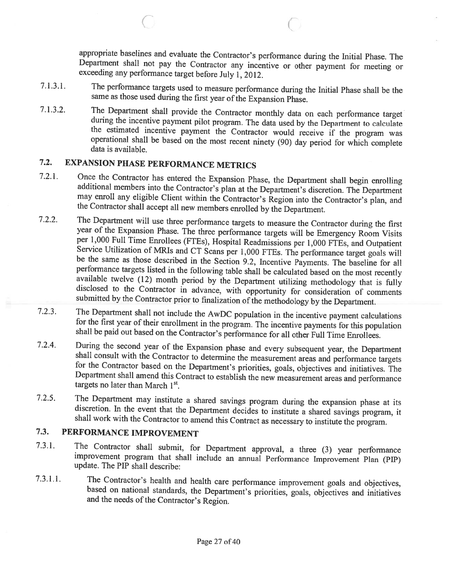appropriate baselines and evaluate the Contractor's performance during the Initial Phase. The Department shall not pay the Contractor any incentive or other payment for meeting or exceeding any performance target before Ju

C

- 7.1.3.1. The perfonnance targets used to measure performance during the Initial Phase shall be the same as those used during the first year of the Expansion Phase.
- 7.1.3.2. The Department shall provide the Contractor monthly data on each performance target during the incentive payment pilot program. The data used by the Department to calculate the estimated incentive payment the Cont

## 7.2. EXPANSION PHASE PERFORMANCE METRICS

 $\subset$ 

- 7.2.1. Once the Contractor has entered the Expansion Phase, the Department shall begin enrolling additional members into the Contractor's <sup>p</sup>lan at the Department's discretion. The Department may enroll any eligible Client within the Contractor's Region into the Contractor's <sup>p</sup>lan, and the Contractor shall accept all new members enrolled by the Department.
- 7.2.2. The Department will use three performance targets to measure the Contractor during the first year of the Expansion Phase. The three performance targets will be Emergency Room Visits per 1,000 Full Time Enrollees (FTEs), Hospital Readmissions per 1,000 FTEs, and Outpatient Service Utilization of MRIs and CT Scans per 1,000 FTEs. The performance target goals will<br>be the same as those described in the Section 9.2, Incentive Payments. The baseline for all<br>performance targets listed in the follo available twelve (12) month period by the Department utilizing methodology that is fully disclosed to the Contractor in advance, with opportunity for consideration of comments submitted by the Contractor prior to finalizat
- 7.2.3. The Department shall not include the AwDC population in the incentive payment calculations for the first year of their enrollment in the program. The incentive payments for this population shall be paid out based on
- 7.2.4. During the second year of the Expansion phase and every subsequent year, the Department shall consult with the Contractor to determine the measurement areas and performance targets for the Contractor based on the D
- 7.2.5. The Department may institute a shared savings program during the expansion phase at its discretion. In the event that the Department decides to institute a shared savings program, it shall work with the Contractor t

## 7.3. PERFORMANCE IMPROVEMENT

- 7.3.1. The Contractor shall submit, for Department approval, <sup>a</sup> three (3) year performance improvement program that shall include an annual Performance Improvement Plan (PIP) update. The PIP shall describe:
- 7.3.1.1. The Contractor's health and health care performance improvement goals and objectives, based on national standards, the Department's priorities, goals, objectives and initiatives and the needs of the Contractor's R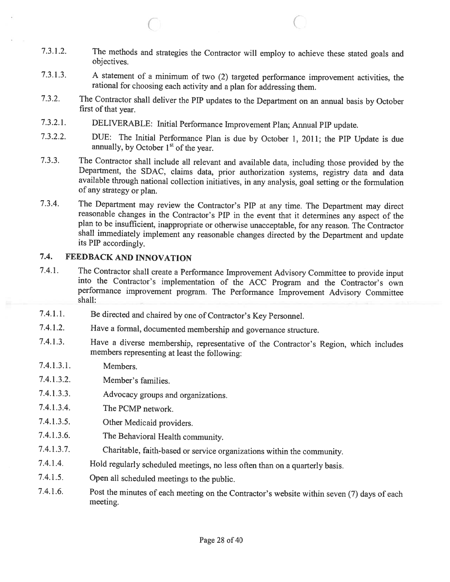7.3.1.2. The methods and strategies the Contractor will employ to achieve these stated goals and objectives.

 $\circ$  C

- 7.3.1.3. <sup>A</sup> statement of <sup>a</sup> minimum of two (2) targeted performance improvement activities, the rational for choosing each activity and <sup>a</sup> <sup>p</sup>lan for addressing them.
- 7.3.2. The Contractor shall deliver the PIP updates to the Department on an annual basis by October first of that year.
- 7.3.2.1. DELIVERABLE: Initial Performance Improvement Plan; Annual PIP update.
- 7.3.2.2. DUE: The Initial Performance Plan is due by October 1, 2011; the PIP Update is due annually, by October  $1<sup>st</sup>$  of the year.
- 7.3.3. The Contractor shall include all relevant and available data, including those provided by the Department, the SDAC, claims data, prior authorization systems, registry data and data available through national collection initiatives, in any analysis, goa<sup>l</sup> setting or the formulation of any strategy or <sup>p</sup>lan.
- 7.3.4. The Department may review the Contractor's PIP at any time. The Department may direct reasonable changes in the Contractor's PIP in the event that it determines any aspect of the plan to be insufficient, inappropriate or otherwise unacceptable, for any reason. The Contractor shall immediately implement any reasonable changes directed by the Department and update its PIP accordingly.

### 7.4. FEEDBACK AND INNOVATION

- 7.4.1. The Contractor shall create <sup>a</sup> Performance Improvement Advisory Committee to provide input into the Contractor's implementation of the ACC Program and the Contractor's own performance improvement program. The Performance Improvement Advisory Committee shall:
- 7.4.1.1. Be directed and chaired by one of Contractor's Key Personnel.
- 7.4.1.2. Have <sup>a</sup> formal, documented membership and governance structure.
- 7.4.1.3. Have <sup>a</sup> diverse membership, representative of the Contractor's Region, which includes members representing at least the following:
- 7.4.1.3.1. Members.
- 7.4.1.3.2. Member's families.
- 7.4.1.3.3. Advocacy groups and organizations.
- 7.4.1.3.4. The PCMP network.
- 7.4.1.3.5. Other Medicaid providers.
- 7.4.1.3.6. The Behavioral Health community.
- 7.4.1.3.7. Charitable, faith-based or service organizations within the community.
- 7.4.1.4. Hold regularly scheduled meetings, no less often than on <sup>a</sup> quarterly basis.
- 7.4.1.5. Open all scheduled meetings to the public.
- 7.4.1 .6. Post the minutes of each meeting on the Contractor's website within seven (7) days of each meeting.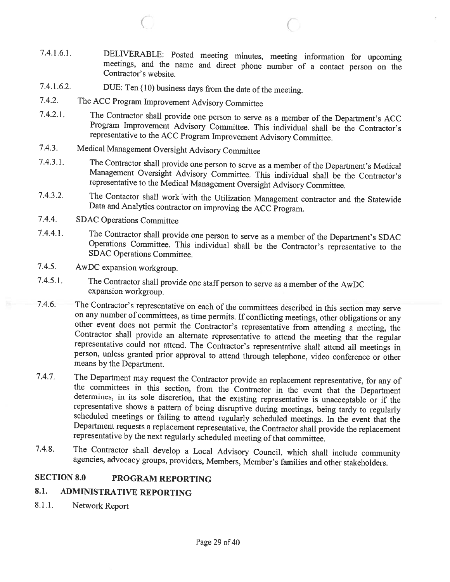7.4.1.6.1. DELIVERABLE: Posted meeting minutes, meeting information for upcoming meetings, and the name and direct <sup>p</sup>hone number of <sup>a</sup> contact person on the Contractor's website.

C C

- 7.4.1.6.2. DUE: Ten (10) business days from the date of the meeting.
- 7.4.2. The ACC Program Improvement Advisory Committee
- 7.4.2.1. The Contractor shall provide one person to serve as <sup>a</sup> member of the Department's ACC Program Improvement Advisory Committee. This individual shall be the Contractor's representative to the ACC Program Improvement Advisory Committee.
- 7.4.3. Medical Management Oversight Advisory Committee
- 7.4.3.1. The Contractor shall provide one person to serve as <sup>a</sup> member of the Department's Medical Management Oversight Advisory Committee. This individual shall be the Contractor's representative to the Medical Management Oversight Advisory Committee.
- 7.4.3.2. The Contactor shall work with the Utilization Management contractor and the Statewide Data and Analytics contractor on improving the ACC Program.
- 7.4.4. SDAC Operations Committee
- 7.4.4.1. The Contractor shall provide one person to serve as <sup>a</sup> member of the Department's SDAC Operations Committee. This individual shall be the Contractor's representative to the SDAC Operations Committee.
- 7.4.5. AwDC expansion workgroup.
- 7.4.5.1. The Contractor shall provide one staff person to serve as <sup>a</sup> member of the AwDC expansion workgroup.
- 7.4.6. The Contractor's representative on each of the committees described in this section may serve on any number of committees, as time permits. If conflicting meetings, other obligations or any other event does not permit the Contractor's representative from attending a meeting, the Contractor shall provide an alternate representative to attend the meeting that the regular representative could not attend. The Con means by the Department.
- 7.4.7. The Department may request the Contractor provide an replacement representative, for any of the committees in this section, from the Contractor in the event that the Department determines, in its sole discretion, th
- 7.4.8. The Contractor shall develop <sup>a</sup> Local Advisory Council, which shall include community agencies, advocacy groups, providers, Members, Member's families and other stakeholders.

### SECTION 8.0 PROGRAM REPORTING

#### 8.1. ADMINISTRATIVE REPORTING

8.1.1. Network Report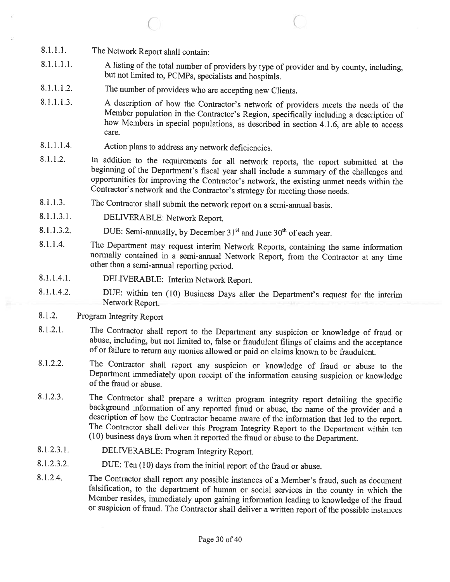- 8.1.1.1. The Network Report shall contain:
- 8.1.1.1.1. A listing of the total number of providers by type of provider and by county, including, but not limited to, PCMPs, specialists and hospitals.

 $\circ$  C

- 8.1.1.1.2. The number of providers who are accepting new Clients.
- 8.1.1.1.3. A description of how the Contractor's network of providers meets the needs of the Member population in the Contractor's Region, specifically including a description of how Members in special populations, as described in section 4.1.6, are able to access care.
- 8.1.1.1.4. Action <sup>p</sup>lans to address any network deficiencies.
- 8.1.1.2. In addition to the requirements for all network reports, the report submitted at the beginning of the Department's fiscal year shall include a summary of the challenges and opportunities for improving the Contract
- 8.1.1.3. The Contractor shall submit the network report on <sup>a</sup> semi-annual basis.
- 8.1.1.3.1. DELIVERABLE: Network Report.
- 8.1.1.3.2. DUE: Semi-annually, by December  $31<sup>st</sup>$  and June  $30<sup>th</sup>$  of each year.
- 8.1.1.4. The Department may request interim Network Reports, containing the same information normally contained in <sup>a</sup> semi-annual Network Report, from the Contractor at any time other than <sup>a</sup> semi-annual reporting period.
- 8.1.1.4.1. DELIVERABLE: Interim Network Report.
- 8.1.1.4.2. DUE: within ten (10) Business Days after the Department's request for the interim Network Report.
- 8.1.2. Program Integrity Report
- 8.1.2.1. The Contractor shall report to the Department any suspicion or knowledge of fraud or abuse, including, but not limited to, false or fraudulent filings of claims and the acceptance of or failure to return any monie
- 8.1.2.2. The Contractor shall report any suspicion or knowledge of fraud or abuse to the Department immediately upon receipt of the information causing suspicion or knowledge of the fraud or abuse.
- 8.1.2.3. The Contractor shall prepare a written program integrity report detailing the specific background information of any reported fraud or abuse, the name of the provider and a description of how the Contractor became aware of the information that led to the report.<br>The Contractor shall deliver this Program Integrity Report to the Department within ten (10) business days from when it reported the
- 8.1.2.3.1. DELIVERABLE: Program Integrity Report.
- 8.1.2.3.2. DUE: Ten (10) days from the initial report of the fraud or abuse.
- 8.1.2.4. The Contractor shall report any possible instances of <sup>a</sup> Member's fraud, such as document falsification, to the department of human or social services in the county in which the Member resides, immediately upon gaining information leading to knowledge of the fraud or suspicion of fraud. The Contractor shall deliver <sup>a</sup> written report of the possible instances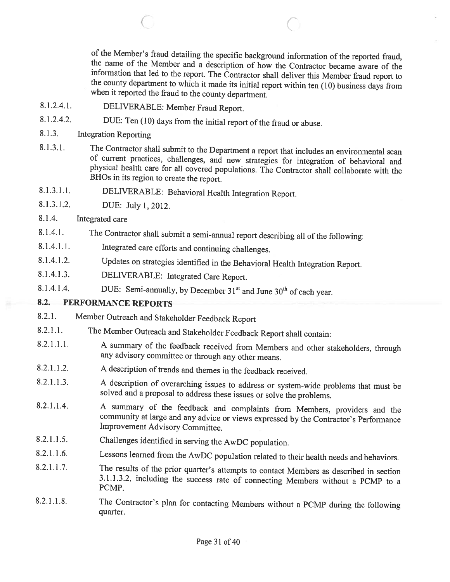of the Member's fraud detailing the specific background information of the reported fraud, the name of the Member and a description of how the Contractor became aware of the information that led to the report. The Contract

- 8.1.2.4.1. DELIVERABLE: Member Fraud Report.
- 8.1.2.4.2. DUE: Ten (10) days from the initial report of the fraud or abuse.
- 8.1.3. Integration Reporting
- 8.1.3.1. The Contractor shall submit to the Department <sup>a</sup> report that includes an environmental scan of current practices, challenges, and new strategies for integration of behavioral and <sup>p</sup>hysical health care for all covered populations. The Contractor shall collaborate with the BHOs in its region to create the report.

 $\begin{array}{ccc} \circ & \circ & \circ \end{array}$ 

- 8.1.3.1.1. DELIVERABLE: Behavioral Health Integration Report.
- 8.1.3.1.2. DUE: July 1, 2012.
- 8.1.4. Integrated care
- 8.1.4.1. The Contractor shall submit a semi-annual report describing all of the following:
- 8.1.4.1.1. Integrated care efforts and continuing challenges.
- 8.1.4.1.2. Updates on strategies identified in the Behavioral Health Integration Report.
- 8.1.4.1.3. DELIVERABLE: Integrated Care Report.
- 8.1.4.1.4. DUE: Semi-annually, by December  $31<sup>st</sup>$  and June  $30<sup>th</sup>$  of each year.

## 8.2. PERFORMANCE REPORTS

- 8.2.1. Member Outreach and Stakeholder Feedback Report
- 8.2.1.1. The Member Outreach and Stakeholder Feedback Report shall contain:
- 8.2.1.1.1. <sup>A</sup> summary of the feedback received from Members and other stakeholders, through any advisory committee or through any other means.
- 8.2.1.1.2. A description of trends and themes in the feedback received.
- 8.2.1.1.3. <sup>A</sup> description of overarching issues to address or system-wide problems that must be solved and <sup>a</sup> proposal to address these issues or solve the problems.
- 8.2.1.1.4. <sup>A</sup> summary of the feedback and complaints from Members, providers and the community at large and any advice or views expressed by the Contractor's Performance Improvement Advisory Committee.
- 8.2.1.1.5. Challenges identified in serving the AwDC population.
- 8.2.1.1.6. Lessons learned from the AwDC population related to their health needs and behaviors.
- 8.2.1.1.7. The results of the prior quarter's attempts to contact Members as described in section 3.1.1.3.2, including the success rate of connecting Members without <sup>a</sup> PCMP to <sup>a</sup> PCMP.
- 8.2.1.1.8. The Contractor's <sup>p</sup>lan for contacting Members without <sup>a</sup> PCMP during the following quarter.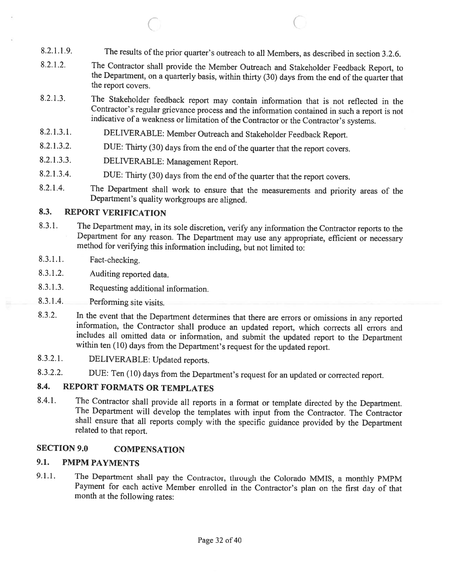8.2.1.1.9. The results of the prior quarter's outreach to all Members, as described in section 3.2.6.

 $\circ$  C

- 8.2.1.2. The Contractor shall provide the Member Outreach and Stakeholder Feedback Report, to the Department, on a quarterly basis, within thirty (30) days from the end of the quarter that the report covers.
- 8.2.1.3. The Stakeholder feedback report may contain information that is not reflected in the Contractor's regular grievance process and the information contained in such <sup>a</sup> report is not indicative of a weakness or limitation of the Contractor or the Contractor's systems.
- 8.2.1.3.1. DELIVERABLE: Member Outreach and Stakeholder Feedback Report.
- 8.2.1.3.2. DUE: Thirty (30) days from the end of the quarter that the report covers.
- 8.2.1.3.3. DELIVERABLE: Management Report.
- 8.2.1.3.4. DUE: Thirty (30) days from the end of the quarter that the report covers.
- 8.2.1.4. The Department shall work to ensure that the measurements and priority areas of the Department's quality workgroups are aligned.

#### 8.3. REPORT VERIFICATION

- 8.3.1. The Department may, in its sole discretion, verify any information the Contractor reports to the Department for any reason. The Department may use any appropriate, efficient or necessary method for verifying this information including, but not limited to:
- 8.3.1.1. Fact-checking.
- 8.3.1.2. Auditing reported data.
- 8.3.1.3. Requesting additional information.
- 8.3.1.4. Performing site visits.
- 8.3.2. In the event that the Department determines that there are errors or omissions in any reported information, the Contractor shall produce an updated report, which corrects all errors and includes all omitted data or information, and submit the updated report to the Department within ten (10) days from the Department's request for the updated report.
- 8.3.2.1. DELIVERABLE: Updated reports.
- 8.3.2.2. DUE: Ten (10) days from the Department's request for an updated or corrected report.

## 8.4. REPORT FORMATS OR TEMPLATES

8.4.1. The Contractor shall provide all reports in <sup>a</sup> format or template directed by the Department. The Department will develop the templates with input from the Contractor. The Contractor shall ensure that all reports comply with the specific guidance provided by the Department related to that report.

#### SECTION 9.0 COMPENSATION

### 9.1. PMPM PAYMENTS

9.1.1. The Department shall pay the Contractor, through the Colorado MMIS, <sup>a</sup> monthly PMPM Payment for each active Member enrolled in the Contractor's <sup>p</sup>lan on the first day of that month at the following rates: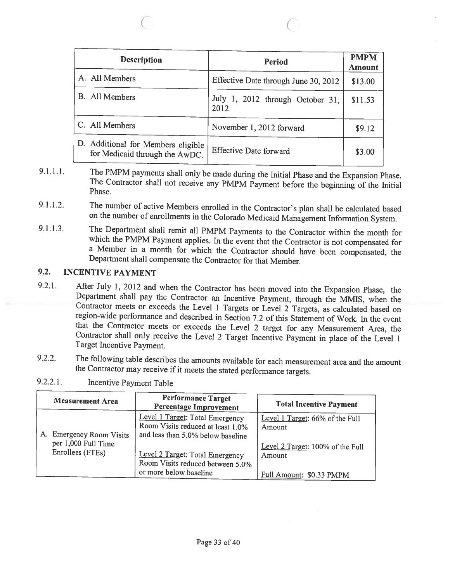| <b>Description</b>                                                   | <b>Period</b>                            | <b>PMPM</b><br><b>Amount</b> |
|----------------------------------------------------------------------|------------------------------------------|------------------------------|
| A. All Members                                                       | Effective Date through June 30, 2012     | \$13.00                      |
| <b>B.</b> All Members                                                | July 1, 2012 through October 31,<br>2012 | \$11.53                      |
| C. All Members                                                       | November 1, 2012 forward                 | \$9.12                       |
| D. Additional for Members eligible<br>for Medicaid through the AwDC. | <b>Effective Date forward</b>            | \$3.00                       |

 $\begin{array}{ccc} \circ & \circ & \circ \end{array}$ 

- 9.1.1.1. The PMPM payments shall only be made during the Initial Phase and the Expansion Phase.<br>The Contractor shall not receive any PMPM Payment before the beginning of the Initial Phase.
- 9.1.1.2. The number of active Members enrolled in the Contractor's <sup>p</sup>lan shall be calculated based on the number of enrollments in the Colorado Medicaid Management Information System.
- 9.1.1.3. The Department shall remit all PMPM Payments to the Contractor within the month for which the PMPM Payment applies. In the event that the Contractor is not compensated for <sup>a</sup> Member in <sup>a</sup> month for which the Contractor should have been compensated, the Department shall compensate the Contractor for that Member.

## 9.2. INCENTIVE PAYMENT

- 9.2.1. After July 1, 2012 and when the Contractor has been moved into the Expansion Phase, the Department shall pay the Contractor an Incentive Payment, through the MMIS, when the Contractor meets or exceeds the Level 1 Ta region-wide performance and described in Section 7.2 of this Statement of Work. In the event that the Contractor meets or exceeds the Level 2 target for any Measurement Area, the Contractor shall only receive the Level 2 Target Incentive Payment in place of the Level 1 Target Incentive Payment.
- 9.2.2. The following table describes the amounts available for each measurement area and the amount the Contractor may receive if it meets the stated performance targets.

| <b>Measurement Area</b>                         | <b>Performance Target</b><br><b>Percentage Improvement</b>                                                | <b>Total Incentive Payment</b>                                                |
|-------------------------------------------------|-----------------------------------------------------------------------------------------------------------|-------------------------------------------------------------------------------|
| A. Emergency Room Visits<br>per 1,000 Full Time | Level 1 Target: Total Emergency<br>Room Visits reduced at least 1.0%<br>and less than 5.0% below baseline | Level 1 Target: 66% of the Full<br>Amount<br>Level 2 Target: 100% of the Full |
| Enrollees (FTEs)                                | Level 2 Target: Total Emergency<br>Room Visits reduced between 5.0%<br>or more below baseline             | Amount<br>Full Amount: \$0.33 PMPM                                            |

9.2.2.1. Incentive Payment Table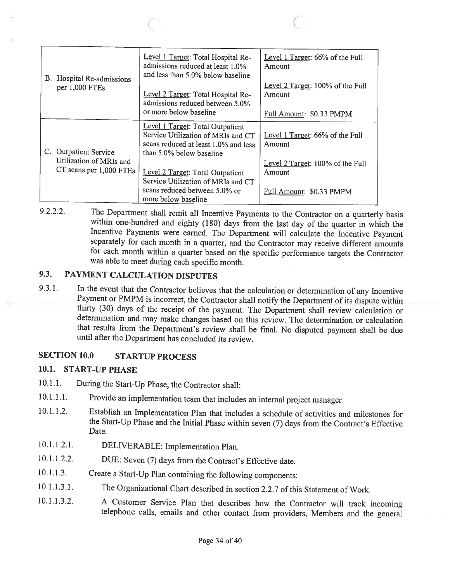| B. Hospital Re-admissions<br>per 1,000 FTEs                                 | Level 1 Target: Total Hospital Re-<br>admissions reduced at least 1.0%<br>and less than 5.0% below baseline<br>Level 2 Target: Total Hospital Re-<br>admissions reduced between 5.0% | Level 1 Target: 66% of the Full<br>Amount<br>Level 2 Target: 100% of the Full<br>Amount |
|-----------------------------------------------------------------------------|--------------------------------------------------------------------------------------------------------------------------------------------------------------------------------------|-----------------------------------------------------------------------------------------|
|                                                                             | or more below baseline                                                                                                                                                               | Full Amount: \$0.33 PMPM                                                                |
| C. Outpatient Service<br>Utilization of MRIs and<br>CT scans per 1,000 FTEs | Level 1 Target: Total Outpatient<br>Service Utilization of MRIs and CT<br>scans reduced at least 1.0% and less<br>than 5.0% below baseline                                           | Level 1 Target: 66% of the Full<br>Amount                                               |
|                                                                             | Level 2 Target: Total Outpatient<br>Service Utilization of MRIs and CT                                                                                                               | Level 2 Target: 100% of the Full<br>Amount                                              |
|                                                                             | scans reduced between 5.0% or<br>more below baseline                                                                                                                                 | Full Amount: \$0.33 PMPM                                                                |

 $\circ$  C

9.2.2.2. The Department shall remit all Incentive Payments to the Contractor on <sup>a</sup> quarterly basis within one-hundred and eighty (180) days from the last day of the quarter in which the Incentive Payments were earned. The Department will calculate the Incentive Payment separately for each month in <sup>a</sup> quarter, and the Contractor may receive different amounts for each month within <sup>a</sup> quarter based on the specific performance targets the Contractor was able to meet during each specific month.

#### 9.3. PAYMENT CALCULATION DISPUTES

9.3.1. In the event that the Contractor believes that the calculation or determination of any Incentive Payment or PMPM is incorrect, the Contractor shall notify the Department of its dispute within thirty (30) days of the determination and may make changes based on this review. The determination or calculation that results from the Department's review shall be final. No disputed payment shall be due until after the Department has concluded its review.

## SECTION 10.0 STARTUP PROCESS

### 10.1. START-UP PHASE

- 10.1.1. During the Start-Up Phase, the Contractor shall:
- 10.1.1.1. Provide an implementation team that includes an internal project manager
- 10.1.1.2. Establish an Implementation Plan that includes <sup>a</sup> schedule of activities and milestones for the Start-Up Phase and the Initial Phase within seven (7) days from the Contract's Effective Date.
- 10.1.1.2.1. DELIVERABLE: Implementation Plan.
- 10.1.1.2.2. DUE: Seven (7) days from the Contract's Effective date.
- 10.1.1.3. Create <sup>a</sup> Start-Up Plan containing the following components:
- 10.1.1.3.1. The Organizational Chart described in section 2.2.7 ofthis Statement of Work.
- 10.1.1.3.2. <sup>A</sup> Customer Service Plan that describes how the Contractor will track incoming telephone calls, emails and other contact from providers, Members and the general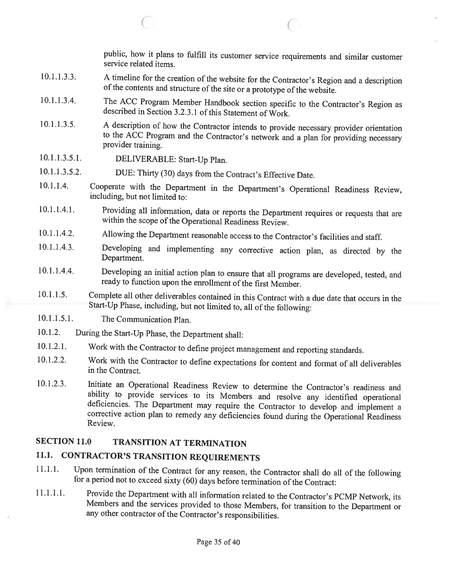public, how it <sup>p</sup>lans to fulfill its customer service requirements and similar customer service related items.

A timeline for the creation of the website for the Contractor's Region and a description of the contents and structure of the site or a prototype of the website. 10.1. 1.3.3.

 $\circ$   $\circ$   $\circ$   $\circ$ 

- The ACC Program Member Handbook section specific to the Contractor's Region as described in Section 3.2.3.1 of this Statement of Work. 10.1. 1.3.4.
- <sup>A</sup> description of how the Contractor intends to provide necessary provider orientation to the ACC Program and the Contractor's network and <sup>a</sup> <sup>p</sup>lan for providing necessary provider training. 10.1.1.3.5.
- DELIVERABLE: Start-Up Plan. 10.1. 1.3 .5.1.
- DUE: Thirty (30) days from the Contract's Effective Date. 10.1.1.3.5.2.
- Cooperate with the Department in the Department's Operational Readiness Review, including, but not limited to: 10.1. 1.4.
- Providing all information, data or reports the Department requires or requests that are within the scope ofthe Operational Readiness Review. 10.1.1.4.1.
- Allowing the Department reasonable access to the Contractor's facilities and staff. 10.1.1.4.2.
- Developing and implementing any corrective action <sup>p</sup>lan, as directed by the Department. 10.1.1.4.3.
- Developing an initial action plan to ensure that all programs are developed, tested, and ready to function upon the enrollment of the first Member. 10.1.1.4.4.
- Complete all other deliverables contained in this Contract with <sup>a</sup> due date that occurs in the Start-Up Phase, including, but not limited to, all of the following: 10.1.1.5.
- The Communication Plan. 10.1.1.5.1.
- During the Start-Up Phase, the Department shall: 10.1.2.
- Work with the Contractor to define project management and reporting standards. 10.1.2.1.
- Work with the Contractor to define expectations for content and format of all deliverables in the Contract. 10.1.2.2.
- Initiate an Operational Readiness Review to determine the Contractor's readiness and ability to provide services to its Members and resolve any identified operational deficiencies. The Department may require the Contractor to develop and implement a corrective action plan to remedy any deficiencies found during the Operational Readiness Review. 10.1.2.3.

## SECTION 11.0 TRANSITION AT TERMINATION

## 11.1. CONTRACTOR'S TRANSITION REQUIREMENTS

- 11.1.1. Upon termination of the Contract for any reason, the Contractor shall do all of the following for a period not to exceed sixty (60) days before termination of the Contract:
- 11.1.1.1. Provide the Department with all information related to the Contractor's PCMP Network, its Members and the services provided to those Members, for transition to the Department or any other contractor of the Contractor's responsibilities.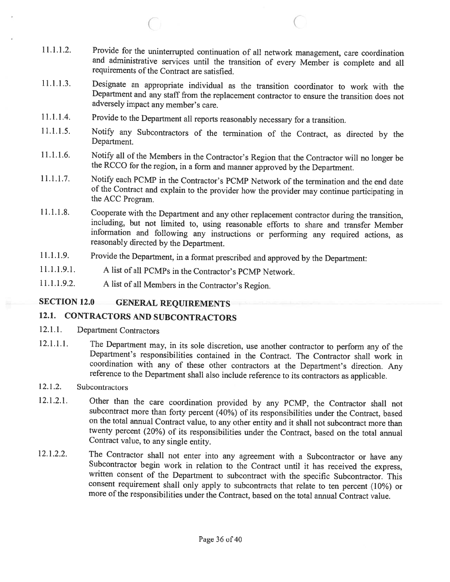11.1.1.2. Provide for the uninterrupted continuation of all network management, care coordination and administrative services until the transition of every Member is complete and all requirements of the Contract are satisfied.

 $\overline{C}$  contracts to  $\overline{C}$ 

- 11.1.1.3. Designate an appropriate individual as the transition coordinator to work with the Department and any staff from the replacement contractor to ensure the transition does not adversely impact any member's care.
- 11.1.1.4. Provide to the Department all reports reasonably necessary for <sup>a</sup> transition.
- 11.1.1.5. Notify any Subcontractors of the termination of the Contract, as directed by the Department.
- 11.1.1.6. Notify all of the Members in the Contractor's Region that the Contractor will no longer be the RCCO for the region, in <sup>a</sup> form and manner approved by the Department.
- 11.1.1.7. Notify each PCMP in the Contractor's PCMP Network of the termination and the end date of the Contract and explain to the provider how the provider may continue participating in the ACC Program.
- 11.1.1.8. Cooperate with the Department and any other replacement contractor during the transition, including, but not limited to, using reasonable efforts to share and transfer Member information and following any instructions or performing any required actions, as reasonably directed by the Department.
- 11.1.1.9. Provide the Department, in <sup>a</sup> format prescribed and approved by the Department:
- 11.1.1.9.1. <sup>A</sup> list of all PCMPs in the Contractor's PCMP Network.
- 11.1.1.9.2. <sup>A</sup> list of all Members in the Contractor's Region.

## SECTION 12.0 GENERAL REQUIREMENTS

## 12.1. CONTRACTORS AND SUBCONTRACTORS

- 12.1.1. Department Contractors
- 12.1.1.1. The Department may, in its sole discretion, use another contractor to perform any of the Department's responsibilities contained in the Contract. The Contractor shall work in coordination with any of these other reference to the Department shall also include reference to its contractors as applicable.
- 12.1.2. Subcontractors
- 12.1.2.1. Other than the care coordination provided by any PCMP, the Contractor shall not subcontract more than forty percent (40%) of its responsibilities under the Contract, based on the total armual Contract value, to any other entity and it shall not subcontract more than twenty percent (20%) of its responsibilities under the Contract, based on the total annual Contract value, to any single entity.
- 12.1.2.2. The Contractor shall not enter into any agreement with a Subcontractor or have any Subcontractor begin work in relation to the Contract until it has received the express, written consent of the Department to subc consent requirement shall only apply to subcontracts that relate to ten percent (10%) or more of the responsibilities under the Contract, based on the total annual Contract value.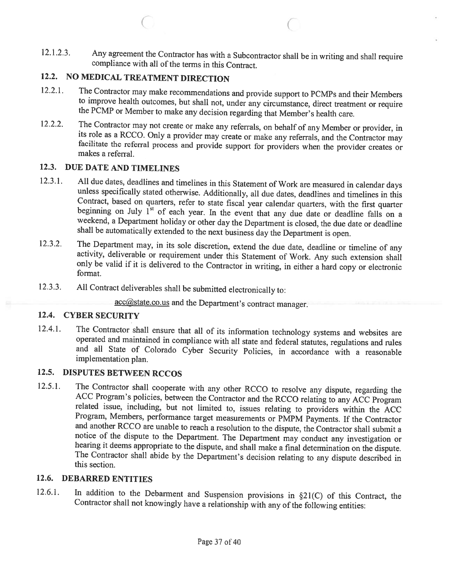12.1.2.3. Any agreement the Contractor has with <sup>a</sup> Subcontractor shall be in writing and shall require compliance with all of the terms in this Contract.

 $\circ$  c

## 12.2. NO MEDICAL TREATMENT DIRECTION

- 12.2.1. The Contractor may make recommendations and provide support to PCMPs and their Members to improve health outcomes, but shall not, under any circumstance, direct treatment or require the PCMP or Member to make any decision regarding that Member's health care.
- 12.2.2. The Contractor may not create or make any referrals, on behalf of any Member or provider, in its role as a RCCO. Only a provider may create or make any referrals, and the Contractor may facilitate the referral proc

## 12.3. DUE DATE AND TIMELINES

- 12.3.1. All due dates, deadlines and timelines in this Statement of Work are measured in calendar days unless specifically stated otherwise. Additionally, all due dates, deadlines and timelines in this Contract, based on
- 12.3.2. The Department may, in its sole discretion, extend the due date, deadline or timeline of any activity, deliverable or requirement under this Statement of Work. Any such extension shall only be valid if it is delive
- 12.3.3. All Contract deliverables shall be submitted electronically to:

acc@state.co.us and the Department's contract manager.

### 12.4. CYBER SECURITY

12.4.1. The Contractor shall ensure that all of its information technology systems and websites are operated and maintained in compliance with all state and federal statutes, regulations and rules and all State of Colorado

## 12.5. DISPUTES BETWEEN RCCOS

12.5.1. The Contractor shall cooperate with any other RCCO to resolve any dispute, regarding the ACC Program's policies, between the Contractor and the RCCO relating to any ACC Program related issue, including, but not lim

### 12.6. DEBARRED ENTITIES

12.6.1. In addition to the Debarment and Suspension provisions in §21(C) of this Contract, the Contractor shall not knowingly have <sup>a</sup> relationship with any of the following entities: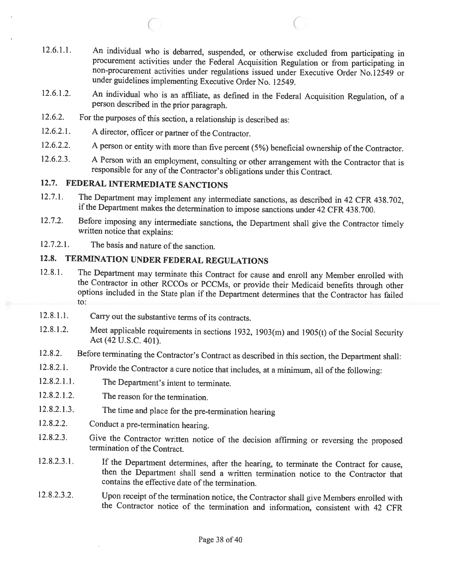12.6.1.1. An individual who is debarred, suspended, or otherwise excluded from participating in procurement activities under the Federal Acquisition Regulation or from participating in non-procurement activities under regulations issued under Executive Order No.12549 or under guidelines implementing Executive Order No. 12549.

C C

- 12.6.1.2. An individual who is an affiliate, as defined in the Federal Acquisition Regulation, of <sup>a</sup> person described in the prior paragraph.
- 12.6.2. For the purposes of this section, a relationship is described as:
- 12.6.2.1. <sup>A</sup> director, officer or partner of the Contractor.
- 12.6.2.2. <sup>A</sup> person or entity with more than five percent (5%) beneficial ownership of the Contractor.
- 12.6.2.3. A Person with an employment, consulting or other arrangement with the Contractor that is responsible for any of the Contractor's obligations under this Contract.

## 12.7. FEDERAL INTERMEDIATE SANCTIONS

- 12.7.1. The Department may implement any intermediate sanctions, as described in 42 CFR 438.702, if the Department makes the determination to impose sanctions under <sup>42</sup> CFR 438.700.
- 12.7.2. Before imposing any intermediate sanctions, the Department shall <sup>g</sup>ive the Contractor timely written notice that explains:
- 12.7.2.1. The basis and nature of the sanction.

## 12.8. TERMINATION UNDER FEDERAL REGULATIONS

- 12.8.1. The Department may terminate this Contract for cause and enroll any Member enrolled with the Contractor in other RCCOs or PCCMs, or provide their Medicaid benefits through other options included in the State plan i to:
- 12.8.1.1. Carry out the substantive terms of its contracts.
- 12.8.1.2. Meet applicable requirements in sections 1932, 1903(m) and 1905(t) of the Social Security Act (42 U.S.C. 401).
- 12.8.2. Before terminating the Contractor's Contract as described in this section, the Department shall:
- 12.8.2.1. Provide the Contractor <sup>a</sup> cure notice that includes, at <sup>a</sup> minimum, all of the following:
- 12.8.2.1.1. The Department's intent to terminate.
- 12.8.2.1.2. The reason for the termination.
- 12.8.2.1.3. The time and <sup>p</sup>lace for the pre-termination hearing
- 12.8.2.2. Conduct <sup>a</sup> pre-termination hearing.
- 12.8.2.3. Give the Contractor written notice of the decision affirming or reversing the proposed termination of the Contract.
- 12.8.2.3.1. If the Department determines, after the hearing, to terminate the Contract for cause, then the Department shall send <sup>a</sup> written termination notice to the Contractor that contains the effective date of the termination.
- 12.8.2.3.2. Upon receipt of the termination notice, the Contractor shall give Members enrolled with the Contractor notice of the termination and information, consistent with <sup>42</sup> CFR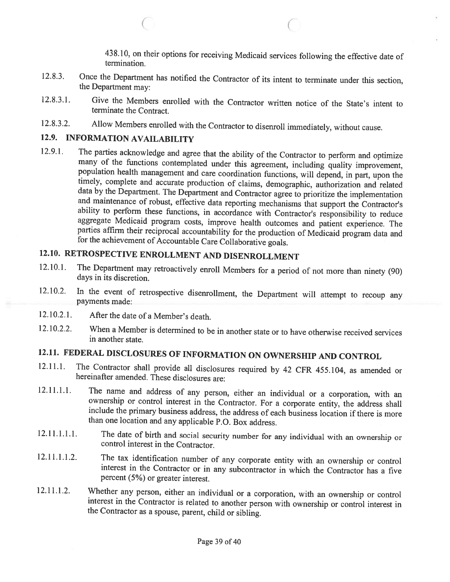438.10, on their options for receiving Medicaid services following the effective date of termination.

12.8.3. Once the Department has notified the Contractor of its intent to terminate under this section, the Department may:

 $\circ$  C

- 12.8.3.1. Give the Members enrolled with the Contractor written notice of the State's intent to terminate the Contract.
- 12.8.3.2. Allow Members enrolled with the Contractor to disenroll immediately, without cause.

## 12.9. INFORMATION AVAILABILITY

12.9.1. The parties acknowledge and agree that the ability of the Contractor to perform and optimize many of the functions contemplated under this agreement, including quality improvement, population health management and care coordination functions, will depend, in part, upon the timely, complete and accurate production of claims, demographic, authorization and related<br>data by the Department. The Department and Contractor agree to prioritize the implementation<br>and maintenance of robust, effective d

# 12.10. RETROSPECTIVE ENROLLMENT AND DISENROLLMENT

- 12.10.1. The Department may retroactively enroll Members for <sup>a</sup> period of not more than ninety (90) days in its discretion.
- 12.10.2. In the event of retrospective disenrollment, the Department will attempt to recoup any payments made:
- 12.10.2.1. After the date of <sup>a</sup> Member's death.
- 12.10.2.2. When <sup>a</sup> Member is determined to be in another state or to have otherwise received services in another state.

# 12.11. FEDERAL DISCLOSURES OF INFORMATION ON OWNERSHIP AND CONTROL

- 12.11.1. The Contractor shall provide all disclosures required by <sup>42</sup> CFR 455.104, as amended or hereinafter amended. These disclosures are:
- 12.11.1.1. The name and address of any person, either an individual or a corporation, with an ownership or control interest in the Contractor. For a corporate entity, the address shall include the primary business address, than one location and any applicable P.O. Box address.
- 12.11.1.1.1. The date of birth and social security number for any individual with an ownership or control interest in the Contractor.
- 12.11.1.1.2. The tax identification number of any corporate entity with an ownership or control interest in the Contractor or in any subcontractor in which the Contractor has <sup>a</sup> five percent (5%) or greater interest.
- 12.11.1.2. Whether any person, either an individual or a corporation, with an ownership or control interest in the Contractor is related to another person with ownership or control interest in the Contractor as a spouse, p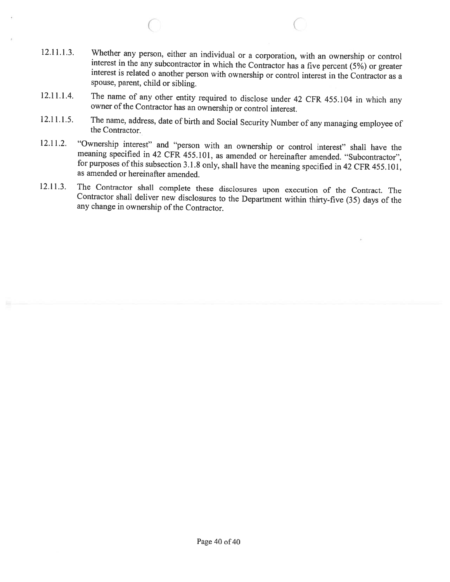12.11.1.3. Whether any person, either an individual or a corporation, with an ownership or control interest in the any subcontractor in which the Contractor has a five percent (5%) or greater interest is related o another spouse, parent, child or sibling.

 $\circ$  C

- 12.11.1.4. The name of any other entity required to disclose under <sup>42</sup> CFR 455.104 in which any owner of the Contractor has an ownership or control interest.
- 12.11.1.5. The name, address, date of birth and Social Security Number of any managing employee of the Contractor.
- 12.11.2. "Ownership interest" and "person with an ownership or control interest" shall have the meaning specified in 42 CFR 455.101, as amended or hereinafter amended. "Subcontractor", for purposes of this subsection 3.1.8 as amended or hereinafter amended.
- 12.11.3. The Contractor shall complete these disclosures upon execution of the Contract. The Contractor shall deliver new disclosures to the Department within thirty-five (35) days of the any change in ownership of the Contractor.